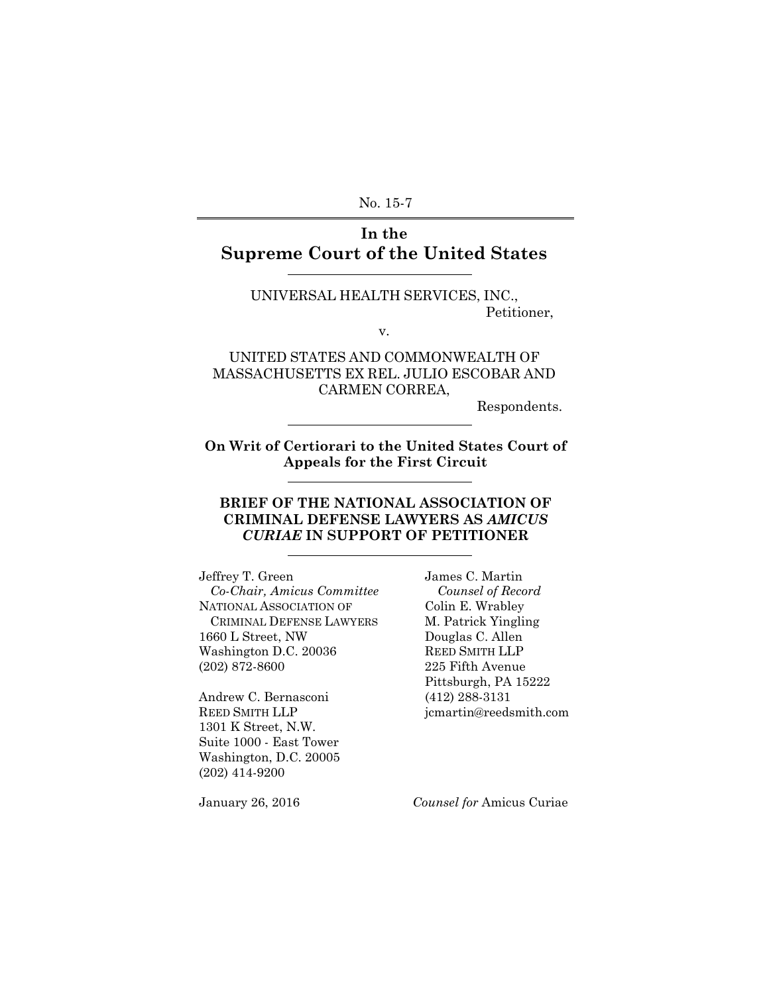No. 15-7

### **In the Supreme Court of the United States**

UNIVERSAL HEALTH SERVICES, INC., Petitioner,

v.

UNITED STATES AND COMMONWEALTH OF MASSACHUSETTS EX REL. JULIO ESCOBAR AND CARMEN CORREA,

Respondents.

**On Writ of Certiorari to the United States Court of Appeals for the First Circuit**

### **BRIEF OF THE NATIONAL ASSOCIATION OF CRIMINAL DEFENSE LAWYERS AS** *AMICUS CURIAE* **IN SUPPORT OF PETITIONER**

Jeffrey T. Green James C. Martin  *Co-Chair, Amicus Committee Counsel of Record* NATIONAL ASSOCIATION OF Colin E. Wrabley CRIMINAL DEFENSE LAWYERS M. Patrick Yingling 1660 L Street, NW Douglas C. Allen Washington D.C. 20036 REED SMITH LLP (202) 872-8600 225 Fifth Avenue

Andrew C. Bernasconi (412) 288-3131 REED SMITH LLP jcmartin@reedsmith.com 1301 K Street, N.W. Suite 1000 - East Tower Washington, D.C. 20005 (202) 414-9200

Pittsburgh, PA 15222

January 26, 2016 *Counsel for* Amicus Curiae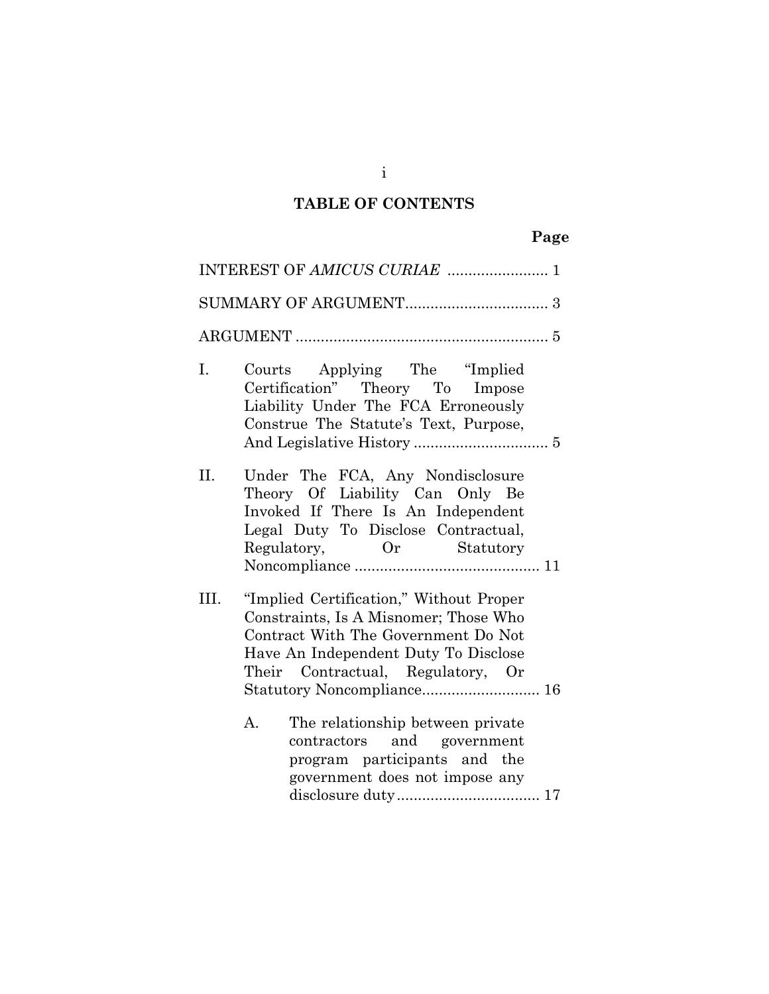## **TABLE OF CONTENTS**

# **Page**

|      | INTEREST OF AMICUS CURIAE  1                                                                                                                                                                         |
|------|------------------------------------------------------------------------------------------------------------------------------------------------------------------------------------------------------|
|      |                                                                                                                                                                                                      |
|      |                                                                                                                                                                                                      |
| I.   | Courts Applying The "Implied<br>Certification" Theory To Impose<br>Liability Under The FCA Erroneously<br>Construe The Statute's Text, Purpose,                                                      |
| II.  | Under The FCA, Any Nondisclosure<br>Theory Of Liability Can Only Be<br>Invoked If There Is An Independent<br>Legal Duty To Disclose Contractual,<br>Regulatory, Or Statutory                         |
| III. | "Implied Certification," Without Proper<br>Constraints, Is A Misnomer; Those Who<br>Contract With The Government Do Not<br>Have An Independent Duty To Disclose<br>Their Contractual, Regulatory, Or |
|      | The relationship between private<br>А.<br>contractors and government<br>program participants and the<br>government does not impose any                                                               |

i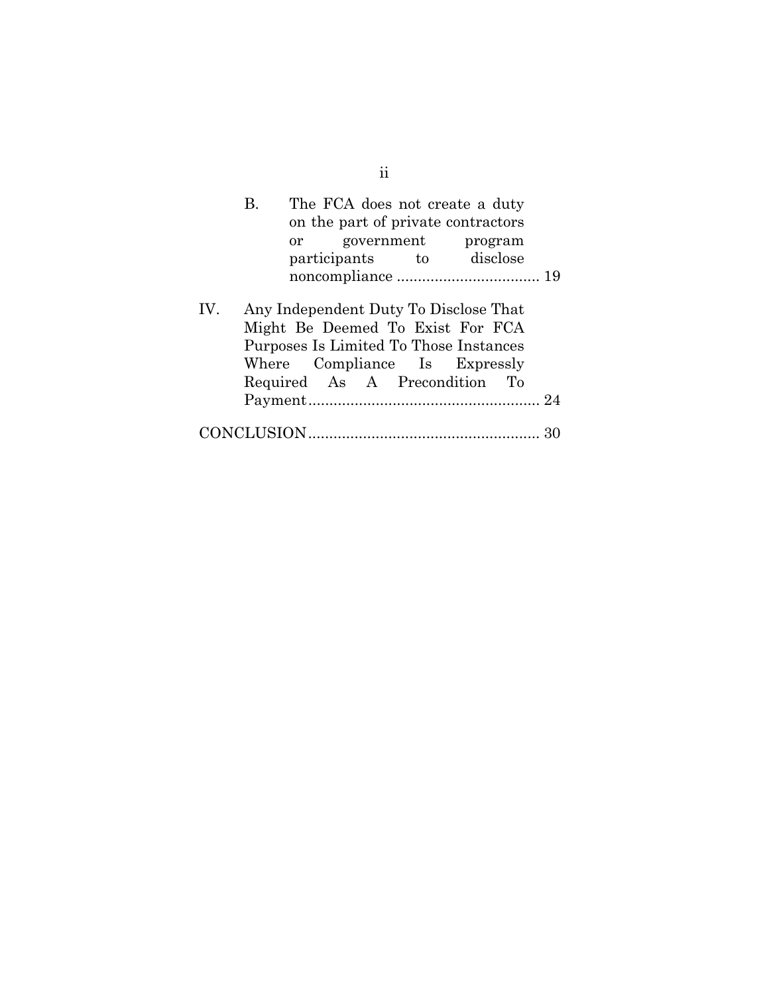|     | В. |  |  | The FCA does not create a duty<br>on the part of private contractors<br>or government program<br>participants to disclose                                                             |  |
|-----|----|--|--|---------------------------------------------------------------------------------------------------------------------------------------------------------------------------------------|--|
| IV. |    |  |  | Any Independent Duty To Disclose That<br>Might Be Deemed To Exist For FCA<br>Purposes Is Limited To Those Instances<br>Where Compliance Is Expressly<br>Required As A Precondition To |  |
|     |    |  |  |                                                                                                                                                                                       |  |

ii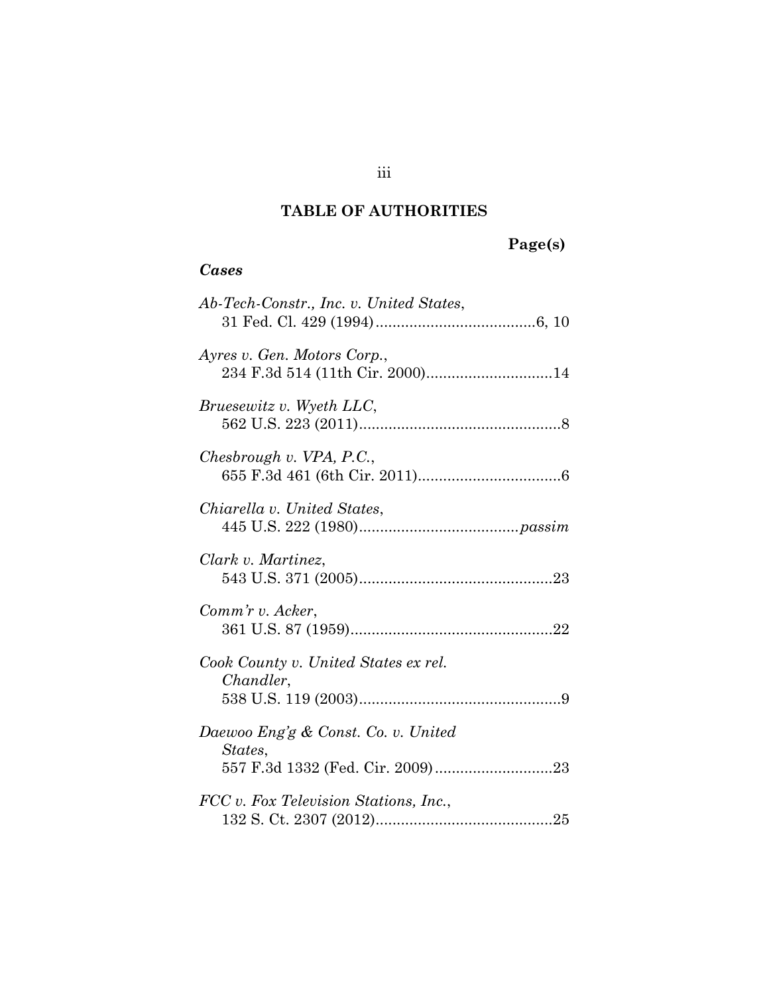## **TABLE OF AUTHORITIES**

# **Page(s)**

### *Cases*

| Ab-Tech-Constr., Inc. v. United States,                        |
|----------------------------------------------------------------|
| Ayres v. Gen. Motors Corp.,<br>234 F.3d 514 (11th Cir. 2000)14 |
| Bruesewitz v. Wyeth LLC,                                       |
| Chesbrough v. VPA, P.C.,                                       |
| Chiarella v. United States,                                    |
| Clark v. Martinez,                                             |
| Comm'r v. Acker,                                               |
| Cook County v. United States ex rel.<br>Chandler,              |
| Daewoo Eng'g & Const. Co. v. United<br>States,                 |
| FCC v. Fox Television Stations, Inc.,                          |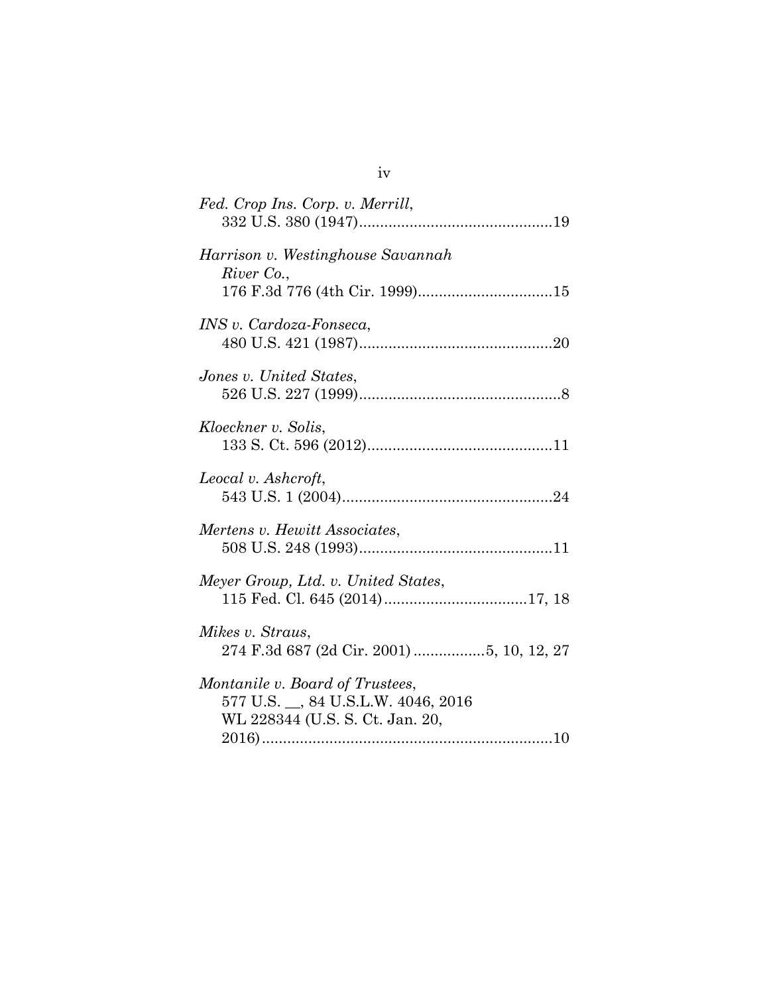| Fed. Crop Ins. Corp. v. Merrill,                                                                          |
|-----------------------------------------------------------------------------------------------------------|
| Harrison v. Westinghouse Savannah<br>River Co.,                                                           |
| INS v. Cardoza-Fonseca,                                                                                   |
| Jones v. United States,                                                                                   |
| Kloeckner v. Solis,                                                                                       |
| Leocal v. Ashcroft,                                                                                       |
| Mertens v. Hewitt Associates,                                                                             |
| Meyer Group, Ltd. v. United States,                                                                       |
| Mikes v. Straus,<br>274 F.3d 687 (2d Cir. 2001) 5, 10, 12, 27                                             |
| Montanile v. Board of Trustees,<br>577 U.S. __, 84 U.S.L.W. 4046, 2016<br>WL 228344 (U.S. S. Ct. Jan. 20, |

iv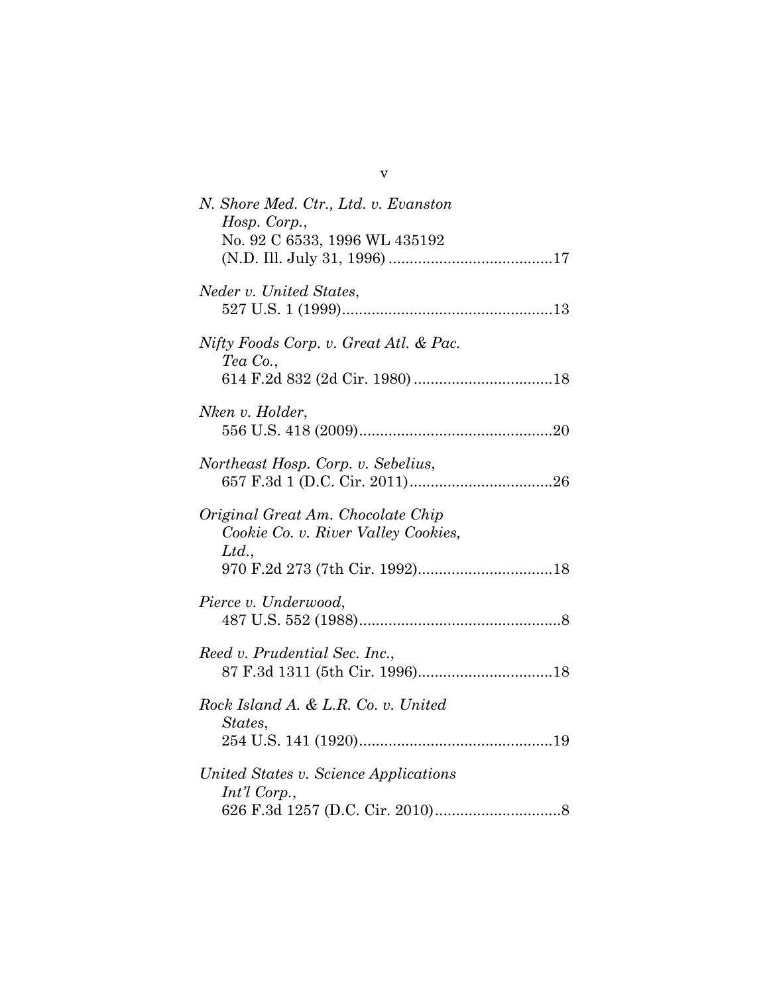v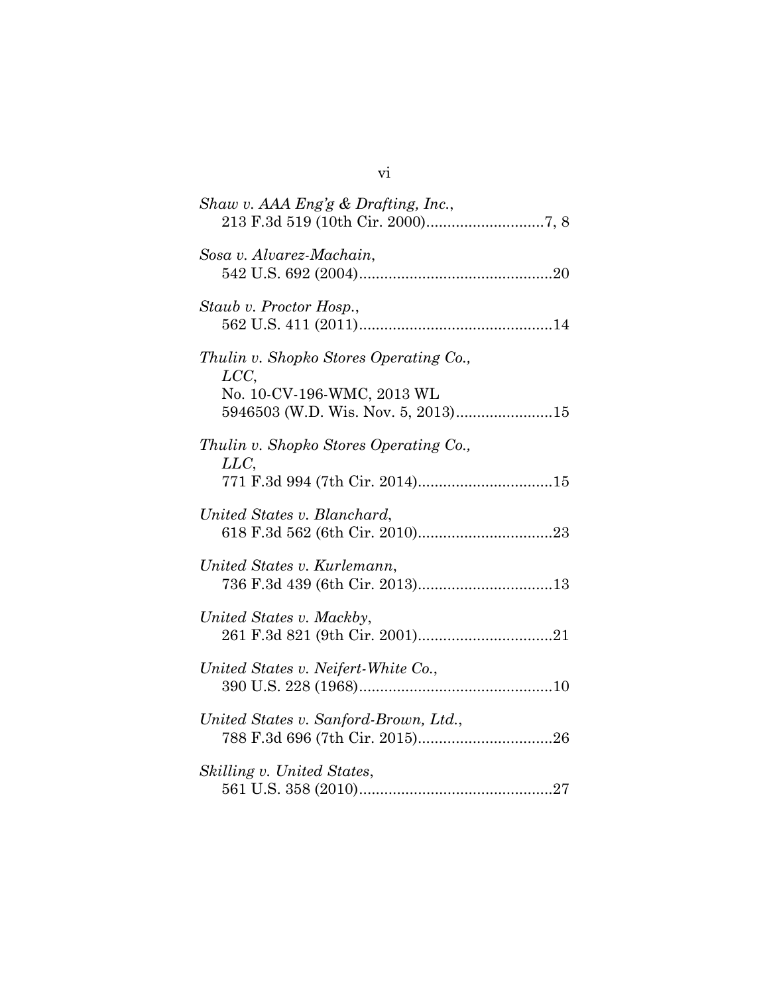| Shaw v. AAA Eng'g & Drafting, Inc.,                                                                               |
|-------------------------------------------------------------------------------------------------------------------|
| Sosa v. Alvarez-Machain,                                                                                          |
| Staub v. Proctor Hosp.,                                                                                           |
| Thulin v. Shopko Stores Operating Co.,<br>LCC<br>No. 10-CV-196-WMC, 2013 WL<br>5946503 (W.D. Wis. Nov. 5, 2013)15 |
| Thulin v. Shopko Stores Operating Co.,<br>LLC<br>771 F.3d 994 (7th Cir. 2014)15                                   |
| United States v. Blanchard,                                                                                       |
| United States v. Kurlemann,<br>736 F.3d 439 (6th Cir. 2013)13                                                     |
| United States v. Mackby,                                                                                          |
| United States v. Neifert-White Co.,                                                                               |
| United States v. Sanford-Brown, Ltd.,                                                                             |
| Skilling v. United States,                                                                                        |

vi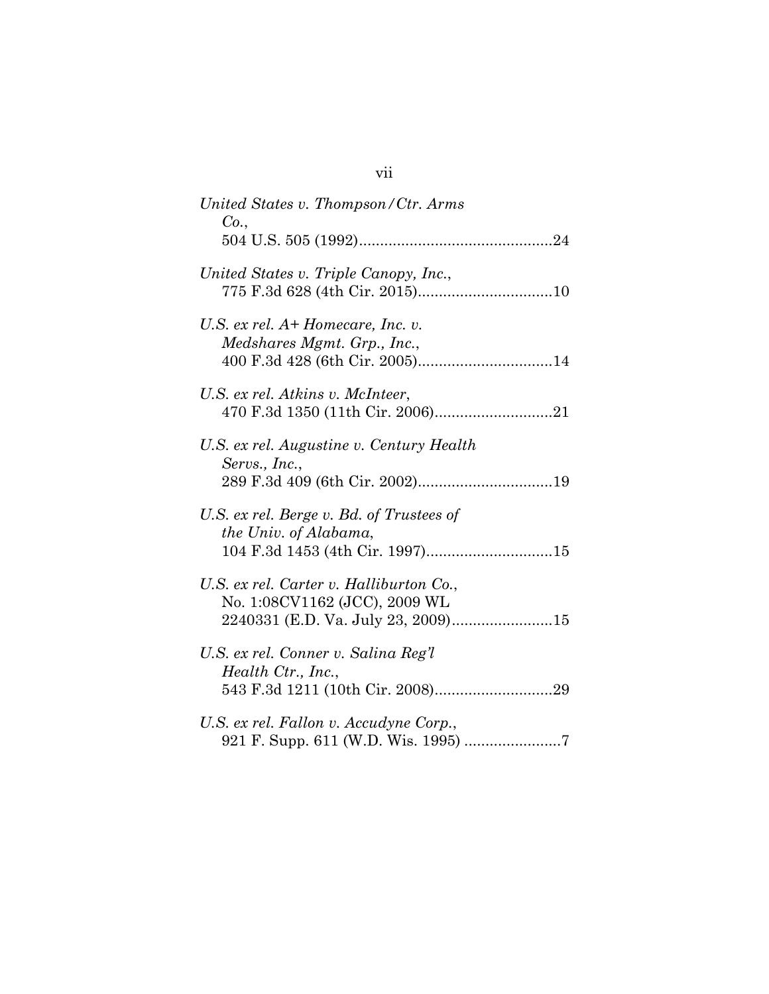| United States v. Thompson/Ctr. Arms<br>Co.,                                                          |
|------------------------------------------------------------------------------------------------------|
|                                                                                                      |
| United States v. Triple Canopy, Inc.,                                                                |
| U.S. ex rel. A+ Homecare, Inc. v.<br>Medshares Mgmt. Grp., Inc.,                                     |
| U.S. ex rel. Atkins v. McInteer,                                                                     |
| U.S. ex rel. Augustine v. Century Health<br>Servs., Inc.,                                            |
| U.S. ex rel. Berge v. Bd. of Trustees of<br>the Univ. of Alabama,<br>104 F.3d 1453 (4th Cir. 1997)15 |
| U.S. ex rel. Carter v. Halliburton Co.,<br>No. 1:08CV1162 (JCC), 2009 WL                             |
| U.S. ex rel. Conner v. Salina Reg'l<br>Health Ctr., Inc.,                                            |
| U.S. ex rel. Fallon v. Accudyne Corp.,                                                               |

# vii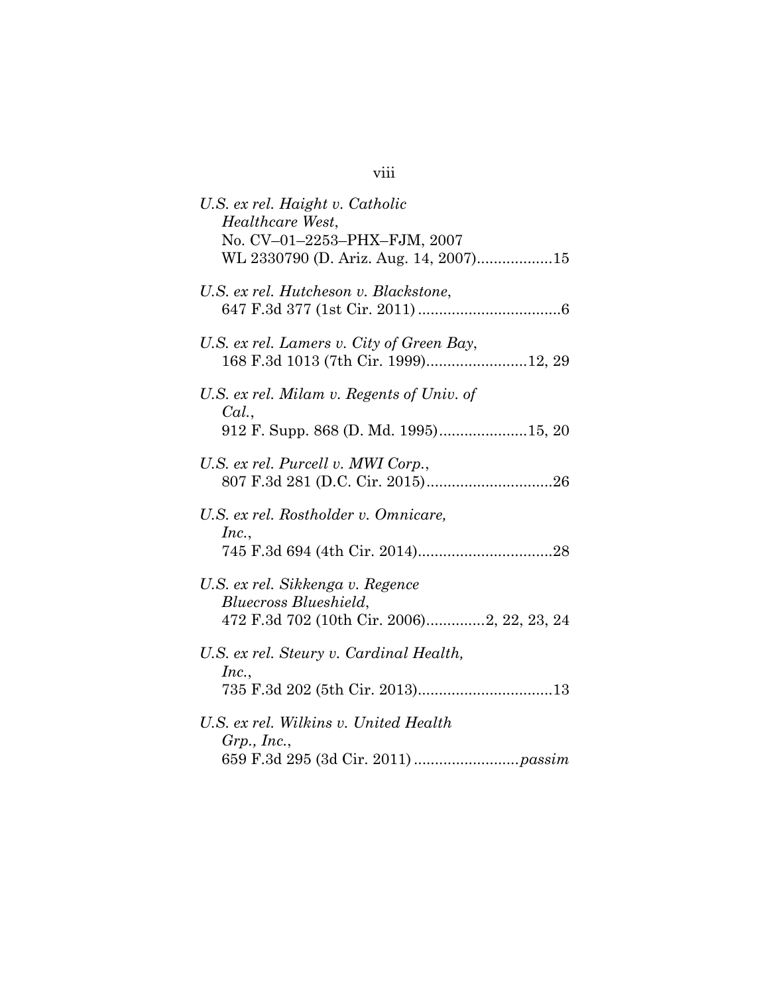| U.S. ex rel. Haight v. Catholic<br>Healthcare West,<br>No. CV-01-2253-PHX-FJM, 2007<br>WL 2330790 (D. Ariz. Aug. 14, 2007)15 |
|------------------------------------------------------------------------------------------------------------------------------|
| U.S. ex rel. Hutcheson v. Blackstone,                                                                                        |
| U.S. ex rel. Lamers v. City of Green Bay,<br>168 F.3d 1013 (7th Cir. 1999)12, 29                                             |
| U.S. ex rel. Milam v. Regents of Univ. of<br>Cal.,<br>912 F. Supp. 868 (D. Md. 1995)15, 20                                   |
| U.S. ex rel. Purcell v. MWI Corp.,                                                                                           |
| U.S. ex rel. Rostholder v. Omnicare,<br>Inc.,                                                                                |
| U.S. ex rel. Sikkenga v. Regence<br>Bluecross Blueshield,<br>472 F.3d 702 (10th Cir. 2006)2, 22, 23, 24                      |
| U.S. ex rel. Steury v. Cardinal Health,<br>Inc.,                                                                             |
| U.S. ex rel. Wilkins v. United Health<br>$Grp.$ , Inc.,                                                                      |

# viii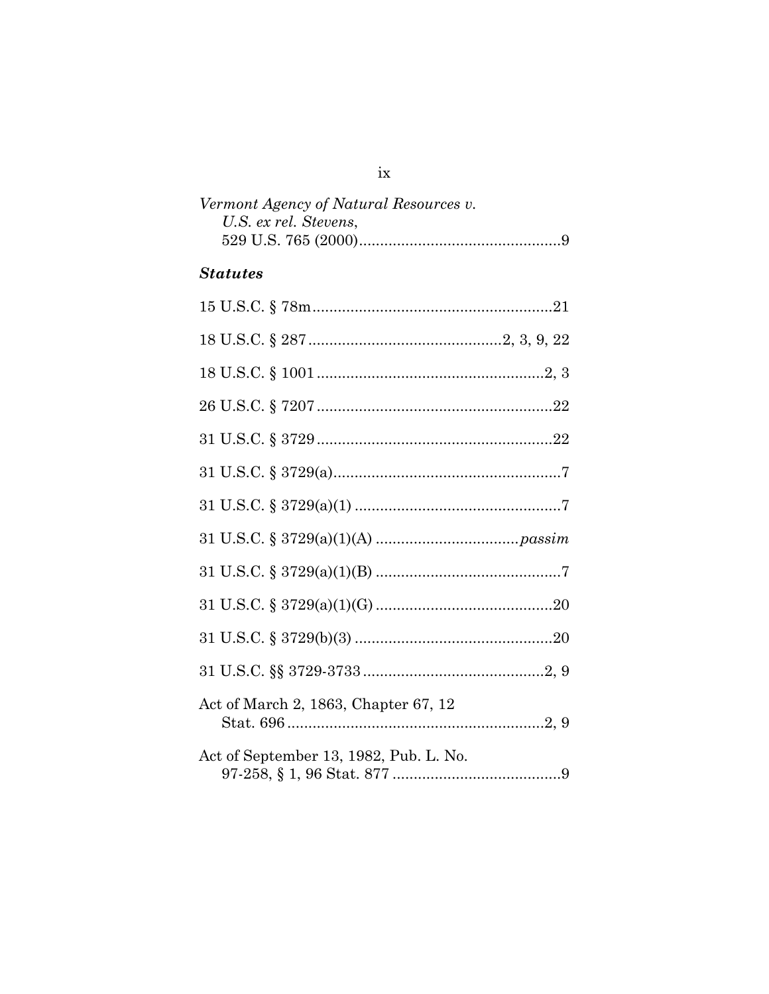| Vermont Agency of Natural Resources v. |  |
|----------------------------------------|--|
| U.S. ex rel. Stevens,                  |  |
|                                        |  |

## **Statutes**

 ${\rm i} {\bf x}$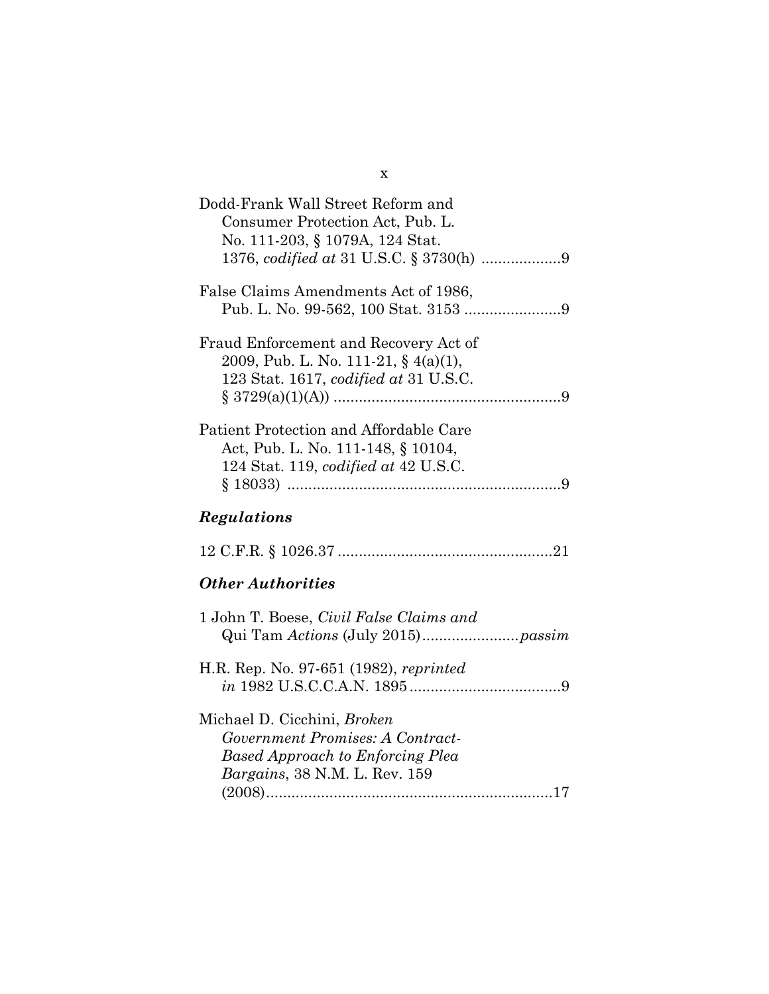| Dodd-Frank Wall Street Reform and<br>Consumer Protection Act, Pub. L.<br>No. 111-203, § 1079A, 124 Stat.                                    |
|---------------------------------------------------------------------------------------------------------------------------------------------|
| False Claims Amendments Act of 1986,                                                                                                        |
| Fraud Enforcement and Recovery Act of<br>2009, Pub. L. No. 111-21, § $4(a)(1)$ ,<br>123 Stat. 1617, codified at 31 U.S.C.                   |
| Patient Protection and Affordable Care<br>Act, Pub. L. No. 111-148, § 10104,<br>124 Stat. 119, <i>codified at 42 U.S.C.</i>                 |
| Regulations                                                                                                                                 |
|                                                                                                                                             |
| <b>Other Authorities</b>                                                                                                                    |
| 1 John T. Boese, Civil False Claims and                                                                                                     |
| H.R. Rep. No. 97-651 (1982), reprinted                                                                                                      |
| Michael D. Cicchini, Broken<br>Government Promises: A Contract-<br><b>Based Approach to Enforcing Plea</b><br>Bargains, 38 N.M. L. Rev. 159 |

(2008) .................................................................... 17

x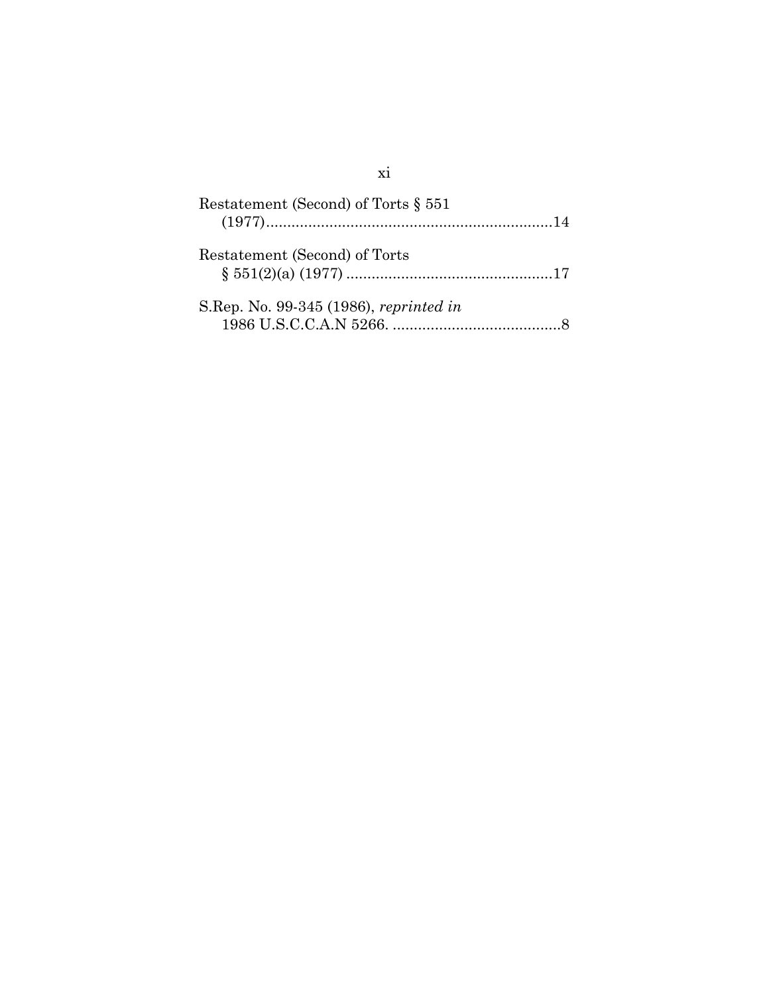| Restatement (Second) of Torts § 551    |  |
|----------------------------------------|--|
| Restatement (Second) of Torts          |  |
| S.Rep. No. 99-345 (1986), reprinted in |  |

## xi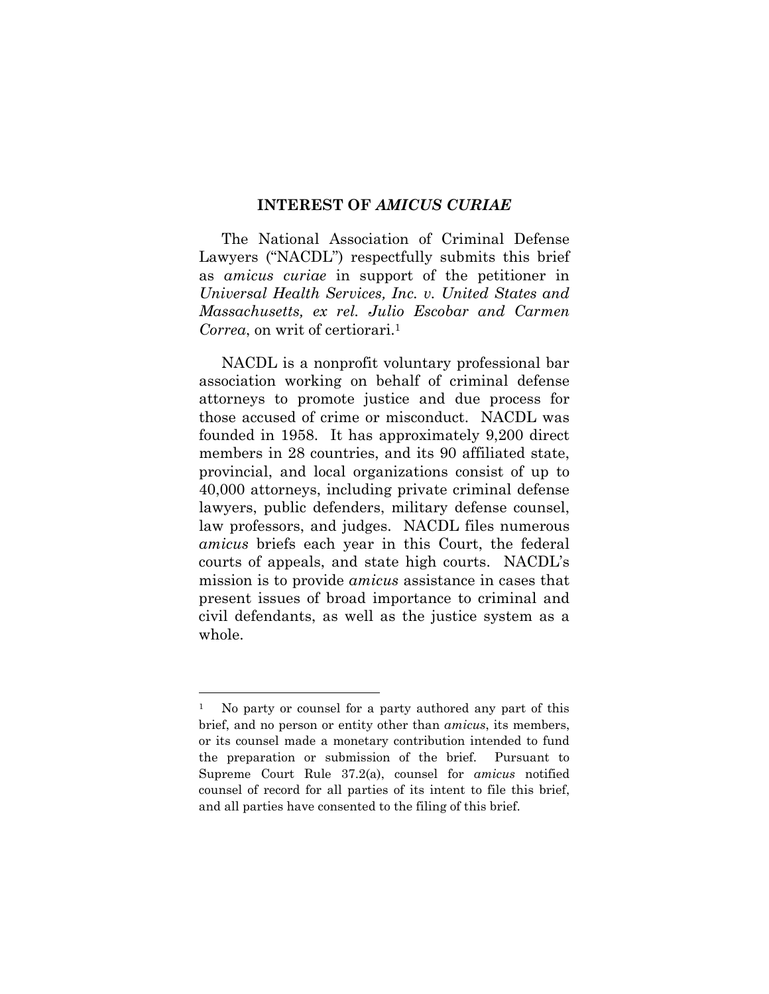#### **INTEREST OF** *AMICUS CURIAE*

The National Association of Criminal Defense Lawyers ("NACDL") respectfully submits this brief as *amicus curiae* in support of the petitioner in *Universal Health Services, Inc. v. United States and Massachusetts, ex rel. Julio Escobar and Carmen Correa*, on writ of certiorari.<sup>1</sup>

NACDL is a nonprofit voluntary professional bar association working on behalf of criminal defense attorneys to promote justice and due process for those accused of crime or misconduct. NACDL was founded in 1958. It has approximately 9,200 direct members in 28 countries, and its 90 affiliated state, provincial, and local organizations consist of up to 40,000 attorneys, including private criminal defense lawyers, public defenders, military defense counsel, law professors, and judges. NACDL files numerous *amicus* briefs each year in this Court, the federal courts of appeals, and state high courts. NACDL's mission is to provide *amicus* assistance in cases that present issues of broad importance to criminal and civil defendants, as well as the justice system as a whole.

 $\overline{a}$ 

<sup>&</sup>lt;sup>1</sup> No party or counsel for a party authored any part of this brief, and no person or entity other than *amicus*, its members, or its counsel made a monetary contribution intended to fund the preparation or submission of the brief. Pursuant to Supreme Court Rule 37.2(a), counsel for *amicus* notified counsel of record for all parties of its intent to file this brief, and all parties have consented to the filing of this brief.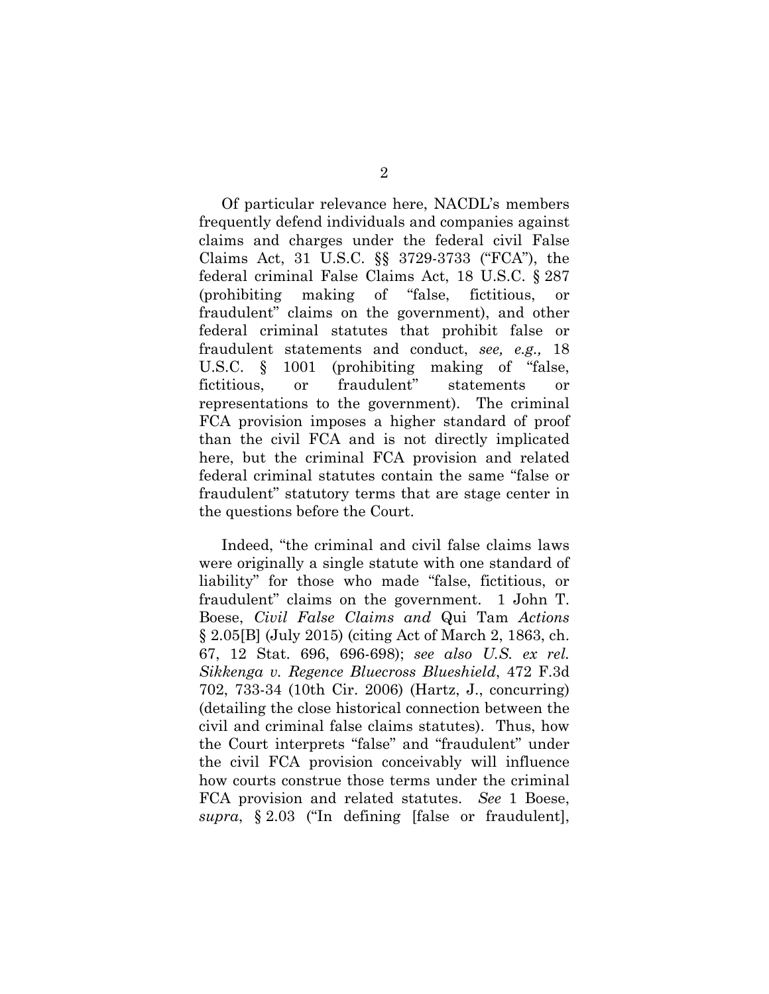Of particular relevance here, NACDL's members frequently defend individuals and companies against claims and charges under the federal civil False Claims Act, 31 U.S.C. §§ 3729-3733 ("FCA"), the federal criminal False Claims Act, 18 U.S.C. § 287 (prohibiting making of "false, fictitious, or fraudulent" claims on the government), and other federal criminal statutes that prohibit false or fraudulent statements and conduct, *see, e.g.,* 18 U.S.C. § 1001 (prohibiting making of "false, fictitious, or fraudulent" statements or representations to the government). The criminal FCA provision imposes a higher standard of proof than the civil FCA and is not directly implicated here, but the criminal FCA provision and related federal criminal statutes contain the same "false or fraudulent" statutory terms that are stage center in the questions before the Court.

Indeed, "the criminal and civil false claims laws were originally a single statute with one standard of liability" for those who made "false, fictitious, or fraudulent" claims on the government. 1 John T. Boese, *Civil False Claims and* Qui Tam *Actions* § 2.05[B] (July 2015) (citing Act of March 2, 1863, ch. 67, 12 Stat. 696, 696-698); *see also U.S. ex rel. Sikkenga v. Regence Bluecross Blueshield*, 472 F.3d 702, 733-34 (10th Cir. 2006) (Hartz, J., concurring) (detailing the close historical connection between the civil and criminal false claims statutes). Thus, how the Court interprets "false" and "fraudulent" under the civil FCA provision conceivably will influence how courts construe those terms under the criminal FCA provision and related statutes. *See* 1 Boese, *supra*, § 2.03 ("In defining [false or fraudulent],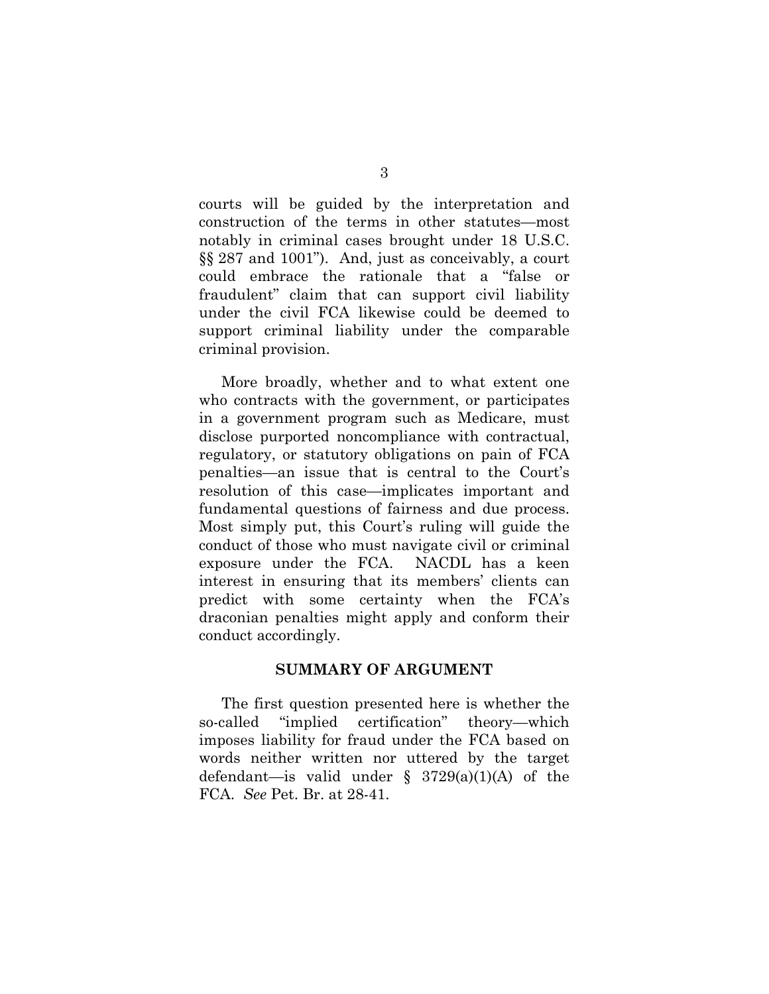courts will be guided by the interpretation and construction of the terms in other statutes—most notably in criminal cases brought under 18 U.S.C. §§ 287 and 1001"). And, just as conceivably, a court could embrace the rationale that a "false or fraudulent" claim that can support civil liability under the civil FCA likewise could be deemed to support criminal liability under the comparable criminal provision.

More broadly, whether and to what extent one who contracts with the government, or participates in a government program such as Medicare, must disclose purported noncompliance with contractual, regulatory, or statutory obligations on pain of FCA penalties—an issue that is central to the Court's resolution of this case—implicates important and fundamental questions of fairness and due process. Most simply put, this Court's ruling will guide the conduct of those who must navigate civil or criminal exposure under the FCA. NACDL has a keen interest in ensuring that its members' clients can predict with some certainty when the FCA's draconian penalties might apply and conform their conduct accordingly.

### **SUMMARY OF ARGUMENT**

The first question presented here is whether the so-called "implied certification" theory—which imposes liability for fraud under the FCA based on words neither written nor uttered by the target defendant—is valid under § 3729(a)(1)(A) of the FCA. *See* Pet. Br. at 28-41.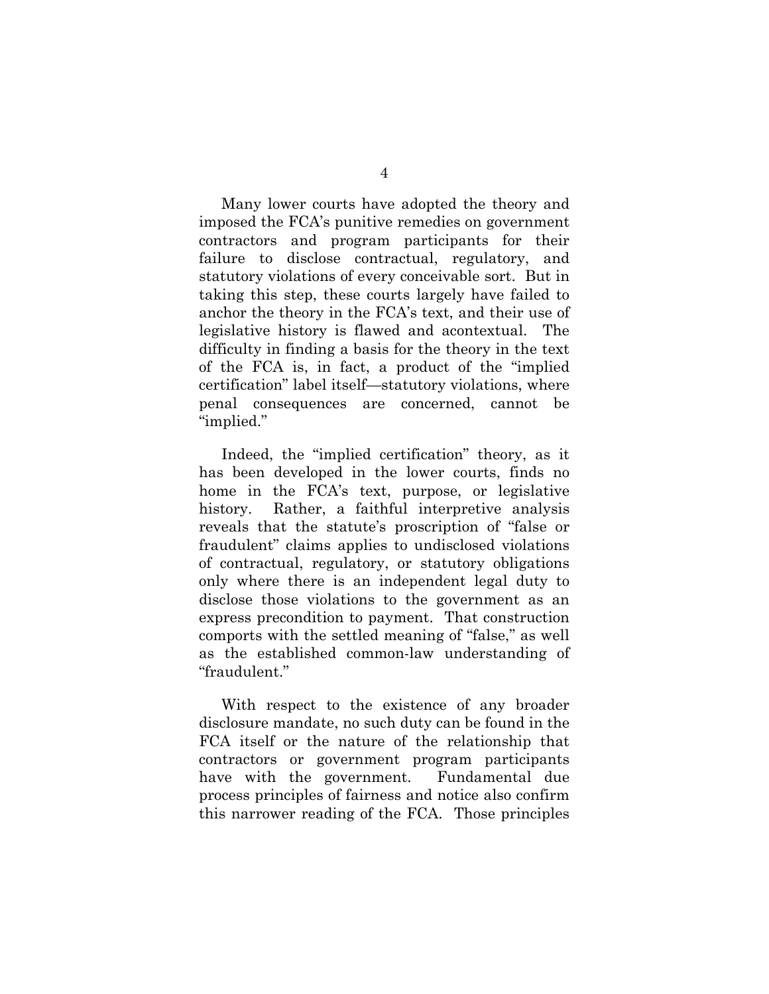Many lower courts have adopted the theory and imposed the FCA's punitive remedies on government contractors and program participants for their failure to disclose contractual, regulatory, and statutory violations of every conceivable sort. But in taking this step, these courts largely have failed to anchor the theory in the FCA's text, and their use of legislative history is flawed and acontextual. The difficulty in finding a basis for the theory in the text of the FCA is, in fact, a product of the "implied certification" label itself—statutory violations, where penal consequences are concerned, cannot be "implied."

Indeed, the "implied certification" theory, as it has been developed in the lower courts, finds no home in the FCA's text, purpose, or legislative history. Rather, a faithful interpretive analysis reveals that the statute's proscription of "false or fraudulent" claims applies to undisclosed violations of contractual, regulatory, or statutory obligations only where there is an independent legal duty to disclose those violations to the government as an express precondition to payment. That construction comports with the settled meaning of "false," as well as the established common-law understanding of "fraudulent."

With respect to the existence of any broader disclosure mandate, no such duty can be found in the FCA itself or the nature of the relationship that contractors or government program participants have with the government. Fundamental due process principles of fairness and notice also confirm this narrower reading of the FCA. Those principles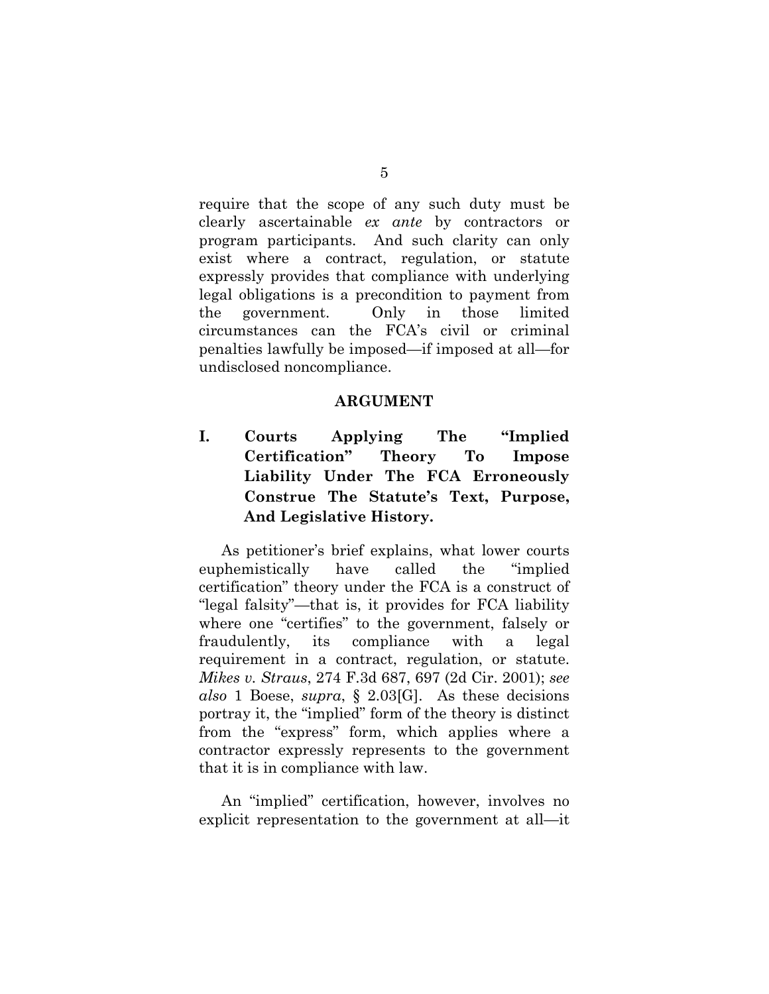require that the scope of any such duty must be clearly ascertainable *ex ante* by contractors or program participants. And such clarity can only exist where a contract, regulation, or statute expressly provides that compliance with underlying legal obligations is a precondition to payment from the government. Only in those limited circumstances can the FCA's civil or criminal penalties lawfully be imposed—if imposed at all—for undisclosed noncompliance.

#### **ARGUMENT**

**I. Courts Applying The "Implied Certification" Theory To Impose Liability Under The FCA Erroneously Construe The Statute's Text, Purpose, And Legislative History.** 

As petitioner's brief explains, what lower courts euphemistically have called the "implied certification" theory under the FCA is a construct of "legal falsity"—that is, it provides for FCA liability where one "certifies" to the government, falsely or fraudulently, its compliance with a legal requirement in a contract, regulation, or statute. *Mikes v. Straus*, 274 F.3d 687, 697 (2d Cir. 2001); *see also* 1 Boese, *supra*, § 2.03[G]. As these decisions portray it, the "implied" form of the theory is distinct from the "express" form, which applies where a contractor expressly represents to the government that it is in compliance with law.

An "implied" certification, however, involves no explicit representation to the government at all—it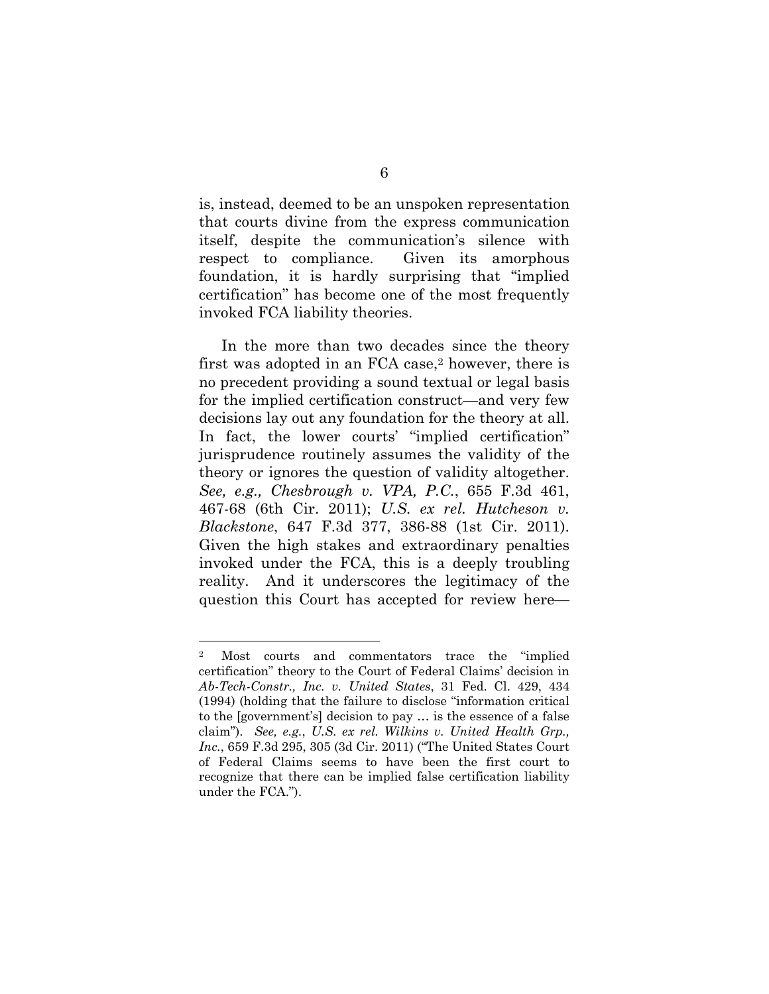is, instead, deemed to be an unspoken representation that courts divine from the express communication itself, despite the communication's silence with respect to compliance. Given its amorphous foundation, it is hardly surprising that "implied certification" has become one of the most frequently invoked FCA liability theories.

In the more than two decades since the theory first was adopted in an FCA case,2 however, there is no precedent providing a sound textual or legal basis for the implied certification construct—and very few decisions lay out any foundation for the theory at all. In fact, the lower courts' "implied certification" jurisprudence routinely assumes the validity of the theory or ignores the question of validity altogether. *See, e.g., Chesbrough v. VPA, P.C.*, 655 F.3d 461, 467-68 (6th Cir. 2011); *U.S. ex rel. Hutcheson v. Blackstone*, 647 F.3d 377, 386-88 (1st Cir. 2011). Given the high stakes and extraordinary penalties invoked under the FCA, this is a deeply troubling reality. And it underscores the legitimacy of the question this Court has accepted for review here—

 $\overline{a}$ 

<sup>2</sup> Most courts and commentators trace the "implied certification" theory to the Court of Federal Claims' decision in *Ab-Tech-Constr., Inc. v. United States*, 31 Fed. Cl. 429, 434 (1994) (holding that the failure to disclose "information critical to the [government's] decision to pay … is the essence of a false claim"). *See, e.g.*, *U.S. ex rel. Wilkins v. United Health Grp., Inc.*, 659 F.3d 295, 305 (3d Cir. 2011) ("The United States Court of Federal Claims seems to have been the first court to recognize that there can be implied false certification liability under the FCA.").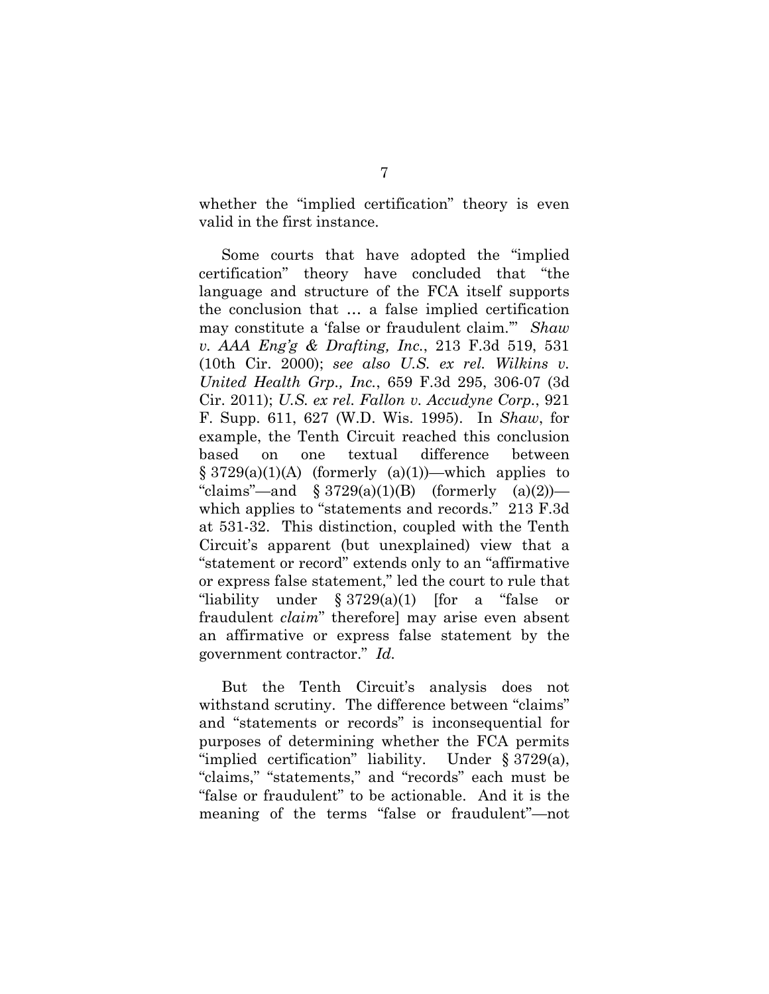whether the "implied certification" theory is even valid in the first instance.

Some courts that have adopted the "implied certification" theory have concluded that "the language and structure of the FCA itself supports the conclusion that … a false implied certification may constitute a 'false or fraudulent claim.'" *Shaw v. AAA Eng'g & Drafting, Inc.*, 213 F.3d 519, 531 (10th Cir. 2000); *see also U.S. ex rel. Wilkins v. United Health Grp., Inc.*, 659 F.3d 295, 306-07 (3d Cir. 2011); *U.S. ex rel. Fallon v. Accudyne Corp.*, 921 F. Supp. 611, 627 (W.D. Wis. 1995). In *Shaw*, for example, the Tenth Circuit reached this conclusion based on one textual difference between  $§ 3729(a)(1)(A)$  (formerly  $(a)(1))$ —which applies to "claims"—and  $\S 3729(a)(1)(B)$  (formerly  $(a)(2)$ ) which applies to "statements and records." 213 F.3d at 531-32. This distinction, coupled with the Tenth Circuit's apparent (but unexplained) view that a "statement or record" extends only to an "affirmative or express false statement," led the court to rule that "liability under § 3729(a)(1) [for a "false or fraudulent *claim*" therefore] may arise even absent an affirmative or express false statement by the government contractor." *Id.*

But the Tenth Circuit's analysis does not withstand scrutiny. The difference between "claims" and "statements or records" is inconsequential for purposes of determining whether the FCA permits "implied certification" liability. Under § 3729(a), "claims," "statements," and "records" each must be "false or fraudulent" to be actionable. And it is the meaning of the terms "false or fraudulent"—not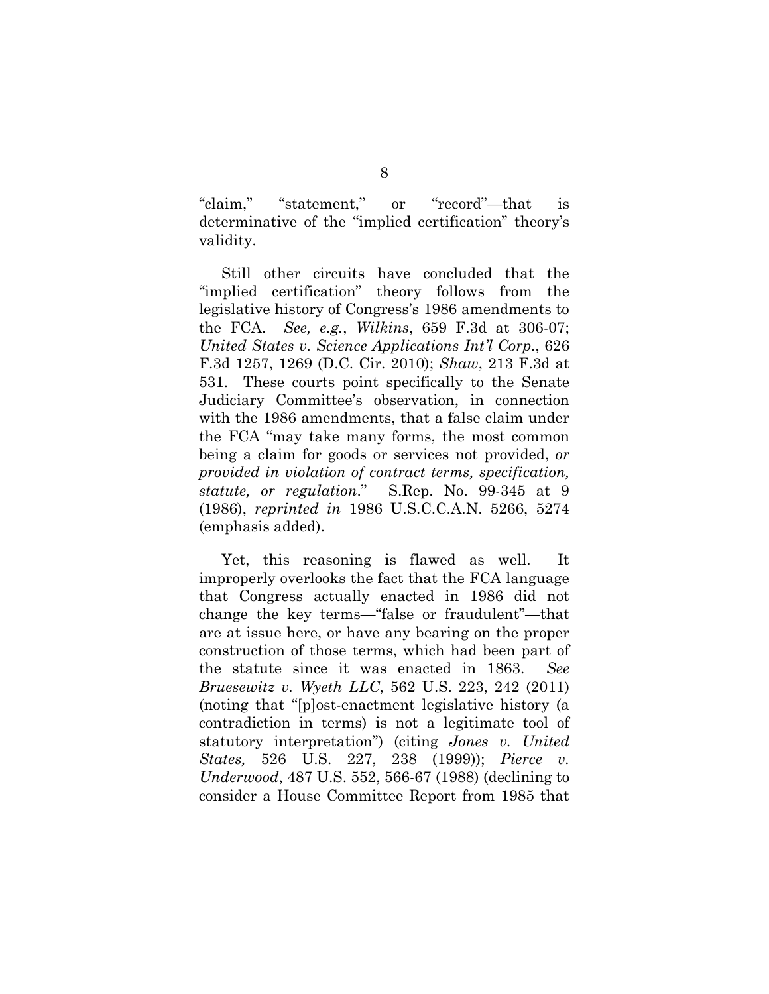"claim," "statement," or "record"—that is determinative of the "implied certification" theory's validity.

Still other circuits have concluded that the "implied certification" theory follows from the legislative history of Congress's 1986 amendments to the FCA. *See, e.g.*, *Wilkins*, 659 F.3d at 306-07; *United States v. Science Applications Int'l Corp.*, 626 F.3d 1257, 1269 (D.C. Cir. 2010); *Shaw*, 213 F.3d at 531. These courts point specifically to the Senate Judiciary Committee's observation, in connection with the 1986 amendments, that a false claim under the FCA "may take many forms, the most common being a claim for goods or services not provided, *or provided in violation of contract terms, specification, statute, or regulation*." S.Rep. No. 99-345 at 9 (1986), *reprinted in* 1986 U.S.C.C.A.N. 5266, 5274 (emphasis added).

Yet, this reasoning is flawed as well. It improperly overlooks the fact that the FCA language that Congress actually enacted in 1986 did not change the key terms—"false or fraudulent"—that are at issue here, or have any bearing on the proper construction of those terms, which had been part of the statute since it was enacted in 1863. *See Bruesewitz v. Wyeth LLC*, 562 U.S. 223, 242 (2011) (noting that "[p]ost-enactment legislative history (a contradiction in terms) is not a legitimate tool of statutory interpretation") (citing *Jones v. United States,* 526 U.S. 227, 238 (1999)); *Pierce v. Underwood*, 487 U.S. 552, 566-67 (1988) (declining to consider a House Committee Report from 1985 that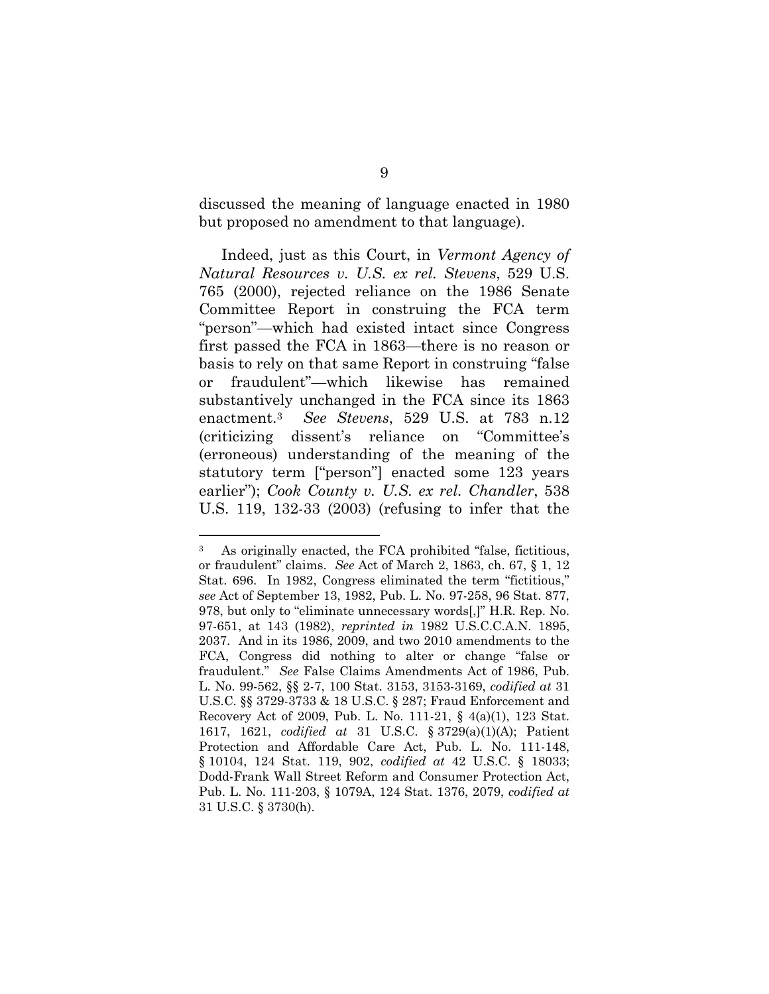discussed the meaning of language enacted in 1980 but proposed no amendment to that language).

Indeed, just as this Court, in *Vermont Agency of Natural Resources v. U.S. ex rel. Stevens*, 529 U.S. 765 (2000), rejected reliance on the 1986 Senate Committee Report in construing the FCA term "person"—which had existed intact since Congress first passed the FCA in 1863—there is no reason or basis to rely on that same Report in construing "false or fraudulent"—which likewise has remained substantively unchanged in the FCA since its 1863 enactment.3 *See Stevens*, 529 U.S. at 783 n.12 (criticizing dissent's reliance on "Committee's (erroneous) understanding of the meaning of the statutory term ["person"] enacted some 123 years earlier"); *Cook County v. U.S. ex rel. Chandler*, 538 U.S. 119, 132-33 (2003) (refusing to infer that the

 $\overline{a}$ 

<sup>3</sup> As originally enacted, the FCA prohibited "false, fictitious, or fraudulent" claims. *See* Act of March 2, 1863, ch. 67, § 1, 12 Stat. 696. In 1982, Congress eliminated the term "fictitious," *see* Act of September 13, 1982, Pub. L. No. 97-258, 96 Stat. 877, 978, but only to "eliminate unnecessary words[,]" H.R. Rep. No. 97-651, at 143 (1982), *reprinted in* 1982 U.S.C.C.A.N. 1895, 2037. And in its 1986, 2009, and two 2010 amendments to the FCA, Congress did nothing to alter or change "false or fraudulent." *See* False Claims Amendments Act of 1986, Pub. L. No. 99-562, §§ 2-7, 100 Stat. 3153, 3153-3169, *codified at* 31 U.S.C. §§ 3729-3733 & 18 U.S.C. § 287; Fraud Enforcement and Recovery Act of 2009, Pub. L. No. 111-21, § 4(a)(1), 123 Stat. 1617, 1621, *codified at* 31 U.S.C. § 3729(a)(1)(A); Patient Protection and Affordable Care Act, Pub. L. No. 111-148, § 10104, 124 Stat. 119, 902, *codified at* 42 U.S.C. § 18033; Dodd-Frank Wall Street Reform and Consumer Protection Act, Pub. L. No. 111-203, § 1079A, 124 Stat. 1376, 2079, *codified at* 31 U.S.C. § 3730(h).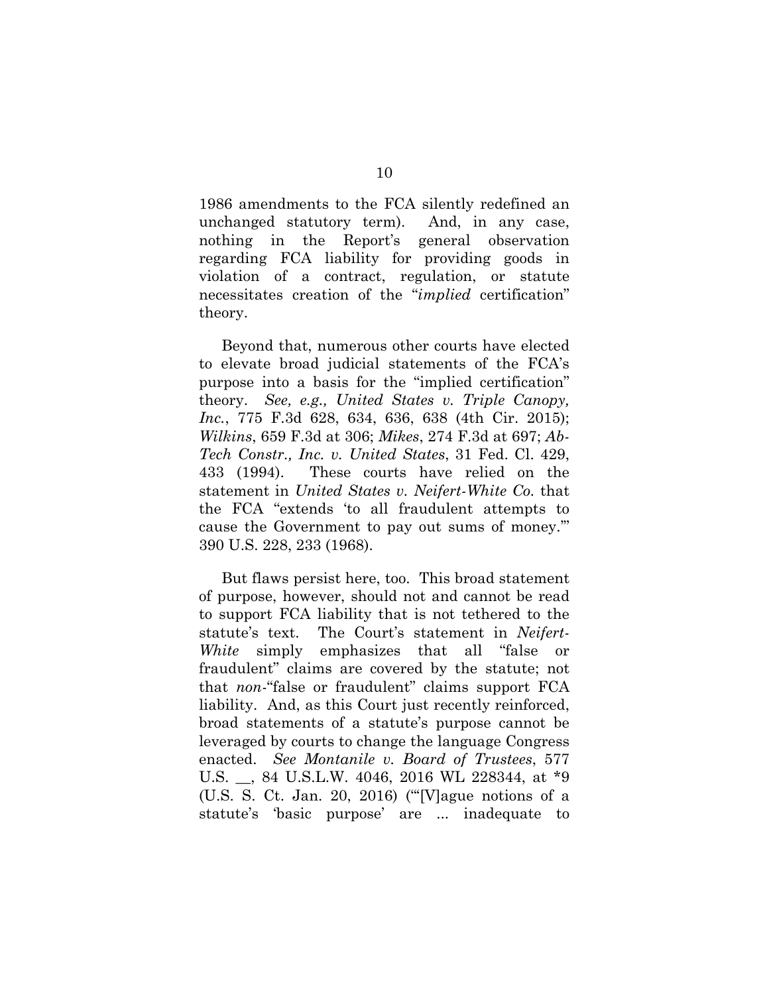1986 amendments to the FCA silently redefined an unchanged statutory term). And, in any case, nothing in the Report's general observation regarding FCA liability for providing goods in violation of a contract, regulation, or statute necessitates creation of the "*implied* certification" theory.

Beyond that, numerous other courts have elected to elevate broad judicial statements of the FCA's purpose into a basis for the "implied certification" theory. *See, e.g., United States v. Triple Canopy, Inc.*, 775 F.3d 628, 634, 636, 638 (4th Cir. 2015); *Wilkins*, 659 F.3d at 306; *Mikes*, 274 F.3d at 697; *Ab-Tech Constr., Inc. v. United States*, 31 Fed. Cl. 429, 433 (1994). These courts have relied on the statement in *United States v. Neifert-White Co.* that the FCA "extends 'to all fraudulent attempts to cause the Government to pay out sums of money.'" 390 U.S. 228, 233 (1968).

But flaws persist here, too. This broad statement of purpose, however, should not and cannot be read to support FCA liability that is not tethered to the statute's text. The Court's statement in *Neifert-White* simply emphasizes that all "false or fraudulent" claims are covered by the statute; not that *non-*"false or fraudulent" claims support FCA liability. And, as this Court just recently reinforced, broad statements of a statute's purpose cannot be leveraged by courts to change the language Congress enacted. *See Montanile v. Board of Trustees*, 577 U.S. \_\_, 84 U.S.L.W. 4046, 2016 WL 228344, at \*9 (U.S. S. Ct. Jan. 20, 2016) ("'[V]ague notions of a statute's 'basic purpose' are ... inadequate to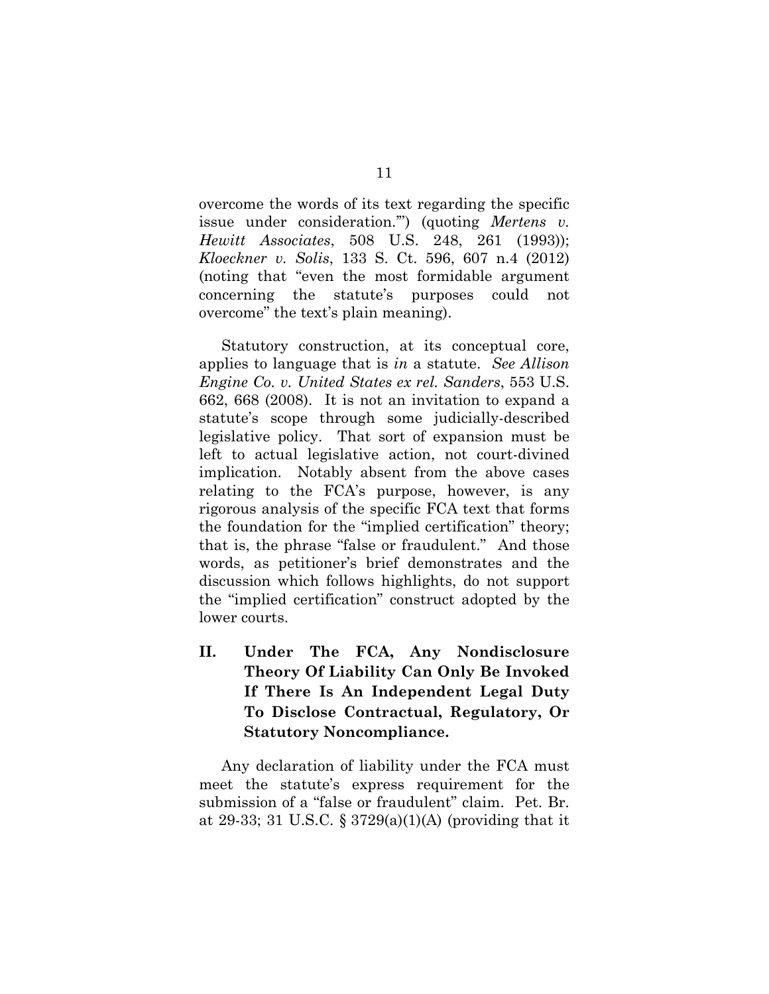overcome the words of its text regarding the specific issue under consideration.'") (quoting *Mertens v. Hewitt Associates*, 508 U.S. 248, 261 (1993)); *Kloeckner v. Solis*, 133 S. Ct. 596, 607 n.4 (2012) (noting that "even the most formidable argument concerning the statute's purposes could not overcome" the text's plain meaning).

Statutory construction, at its conceptual core, applies to language that is *in* a statute. *See Allison Engine Co. v. United States ex rel. Sanders*, 553 U.S. 662, 668 (2008).It is not an invitation to expand a statute's scope through some judicially-described legislative policy. That sort of expansion must be left to actual legislative action, not court-divined implication. Notably absent from the above cases relating to the FCA's purpose, however, is any rigorous analysis of the specific FCA text that forms the foundation for the "implied certification" theory; that is, the phrase "false or fraudulent." And those words, as petitioner's brief demonstrates and the discussion which follows highlights, do not support the "implied certification" construct adopted by the lower courts.

**II. Under The FCA, Any Nondisclosure Theory Of Liability Can Only Be Invoked If There Is An Independent Legal Duty To Disclose Contractual, Regulatory, Or Statutory Noncompliance.** 

Any declaration of liability under the FCA must meet the statute's express requirement for the submission of a "false or fraudulent" claim. Pet. Br. at 29-33; 31 U.S.C. § 3729(a)(1)(A) (providing that it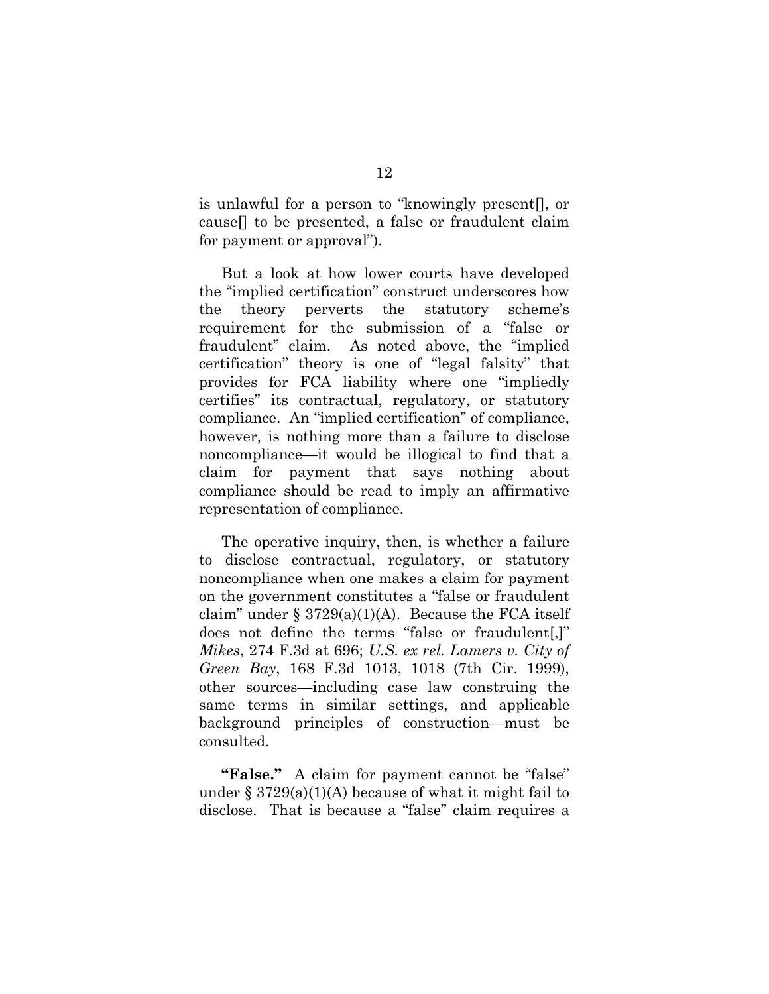is unlawful for a person to "knowingly present[], or cause[] to be presented, a false or fraudulent claim for payment or approval").

But a look at how lower courts have developed the "implied certification" construct underscores how the theory perverts the statutory scheme's requirement for the submission of a "false or fraudulent" claim. As noted above, the "implied certification" theory is one of "legal falsity" that provides for FCA liability where one "impliedly certifies" its contractual, regulatory, or statutory compliance. An "implied certification" of compliance, however, is nothing more than a failure to disclose noncompliance—it would be illogical to find that a claim for payment that says nothing about compliance should be read to imply an affirmative representation of compliance.

The operative inquiry, then, is whether a failure to disclose contractual, regulatory, or statutory noncompliance when one makes a claim for payment on the government constitutes a "false or fraudulent claim" under § 3729(a)(1)(A). Because the FCA itself does not define the terms "false or fraudulent[,]" *Mikes*, 274 F.3d at 696; *U.S. ex rel. Lamers v. City of Green Bay*, 168 F.3d 1013, 1018 (7th Cir. 1999), other sources—including case law construing the same terms in similar settings, and applicable background principles of construction—must be consulted.

**"False."** A claim for payment cannot be "false" under  $\S 3729(a)(1)(A)$  because of what it might fail to disclose. That is because a "false" claim requires a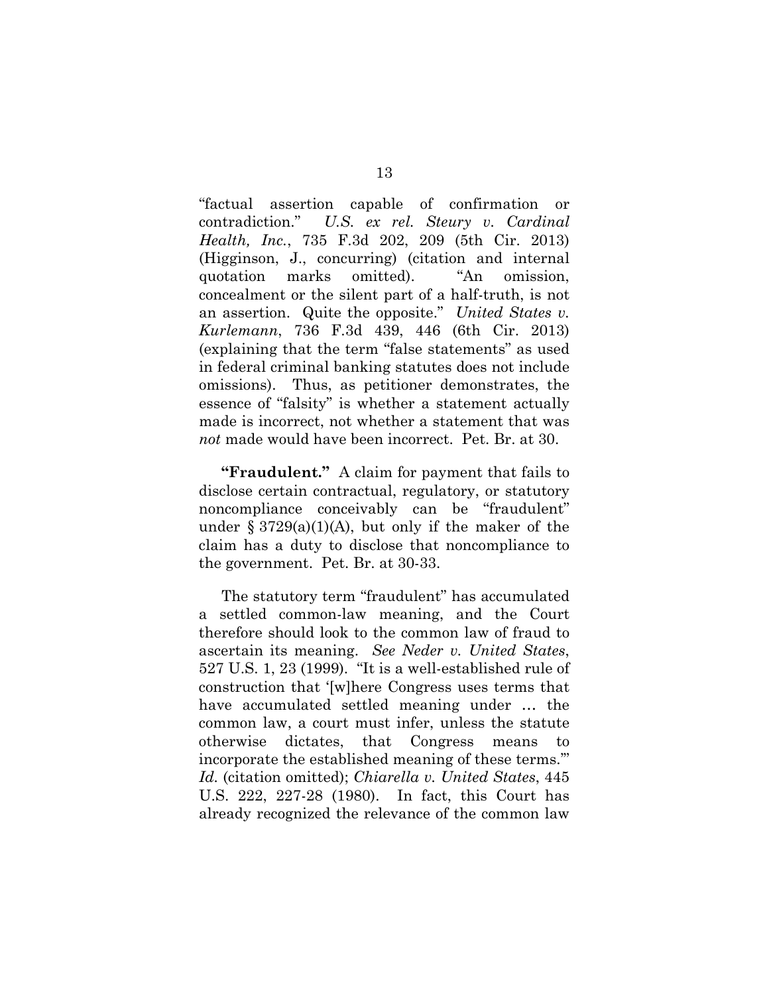"factual assertion capable of confirmation or contradiction." *U.S. ex rel. Steury v. Cardinal Health, Inc.*, 735 F.3d 202, 209 (5th Cir. 2013) (Higginson, J., concurring) (citation and internal quotation marks omitted). "An omission, concealment or the silent part of a half-truth, is not an assertion. Quite the opposite." *United States v. Kurlemann*, 736 F.3d 439, 446 (6th Cir. 2013) (explaining that the term "false statements" as used in federal criminal banking statutes does not include omissions). Thus, as petitioner demonstrates, the essence of "falsity" is whether a statement actually made is incorrect, not whether a statement that was *not* made would have been incorrect. Pet. Br. at 30.

**"Fraudulent."** A claim for payment that fails to disclose certain contractual, regulatory, or statutory noncompliance conceivably can be "fraudulent" under  $\S 3729(a)(1)(A)$ , but only if the maker of the claim has a duty to disclose that noncompliance to the government. Pet. Br. at 30-33.

The statutory term "fraudulent" has accumulated a settled common-law meaning, and the Court therefore should look to the common law of fraud to ascertain its meaning. *See Neder v. United States*, 527 U.S. 1, 23 (1999). "It is a well-established rule of construction that '[w]here Congress uses terms that have accumulated settled meaning under … the common law, a court must infer, unless the statute otherwise dictates, that Congress means to incorporate the established meaning of these terms.'" *Id.* (citation omitted); *Chiarella v. United States*, 445 U.S. 222, 227-28 (1980). In fact, this Court has already recognized the relevance of the common law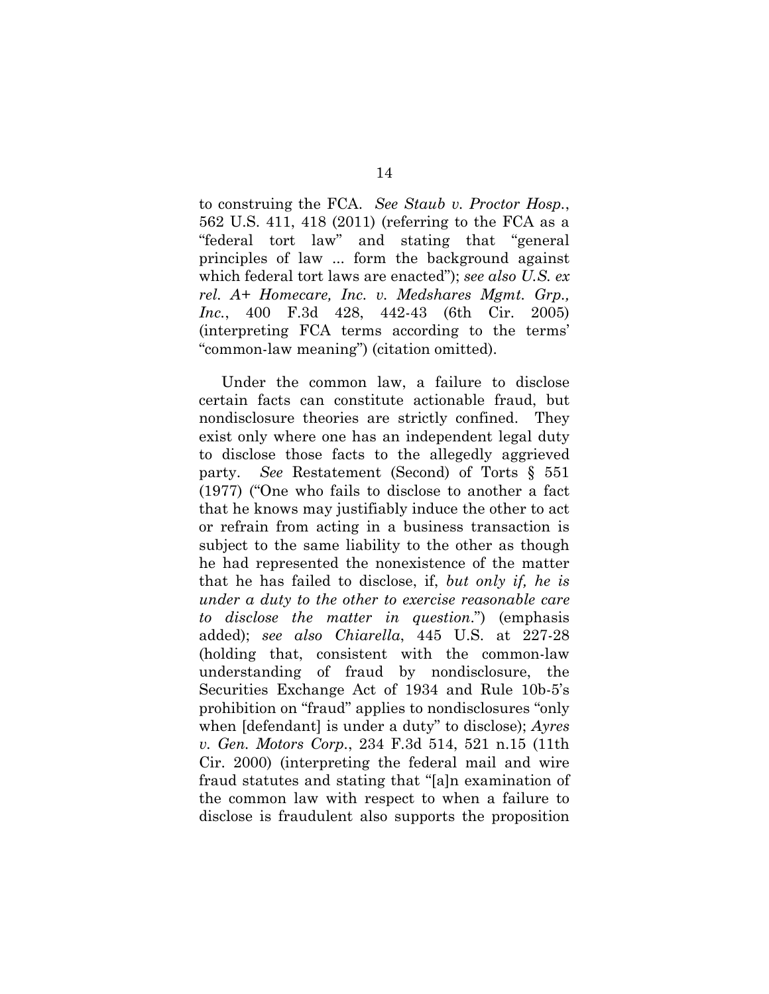to construing the FCA. *See Staub v. Proctor Hosp.*, 562 U.S. 411, 418 (2011) (referring to the FCA as a "federal tort law" and stating that "general principles of law ... form the background against which federal tort laws are enacted"); *see also U.S. ex rel. A+ Homecare, Inc. v. Medshares Mgmt. Grp., Inc.*, 400 F.3d 428, 442-43 (6th Cir. 2005) (interpreting FCA terms according to the terms' "common-law meaning") (citation omitted).

Under the common law, a failure to disclose certain facts can constitute actionable fraud, but nondisclosure theories are strictly confined. They exist only where one has an independent legal duty to disclose those facts to the allegedly aggrieved party. *See* Restatement (Second) of Torts § 551 (1977) ("One who fails to disclose to another a fact that he knows may justifiably induce the other to act or refrain from acting in a business transaction is subject to the same liability to the other as though he had represented the nonexistence of the matter that he has failed to disclose, if, *but only if, he is under a duty to the other to exercise reasonable care to disclose the matter in question*.") (emphasis added); *see also Chiarella*, 445 U.S. at 227-28 (holding that, consistent with the common-law understanding of fraud by nondisclosure, the Securities Exchange Act of 1934 and Rule 10b-5's prohibition on "fraud" applies to nondisclosures "only when [defendant] is under a duty" to disclose); *Ayres v. Gen. Motors Corp.*, 234 F.3d 514, 521 n.15 (11th Cir. 2000) (interpreting the federal mail and wire fraud statutes and stating that "[a]n examination of the common law with respect to when a failure to disclose is fraudulent also supports the proposition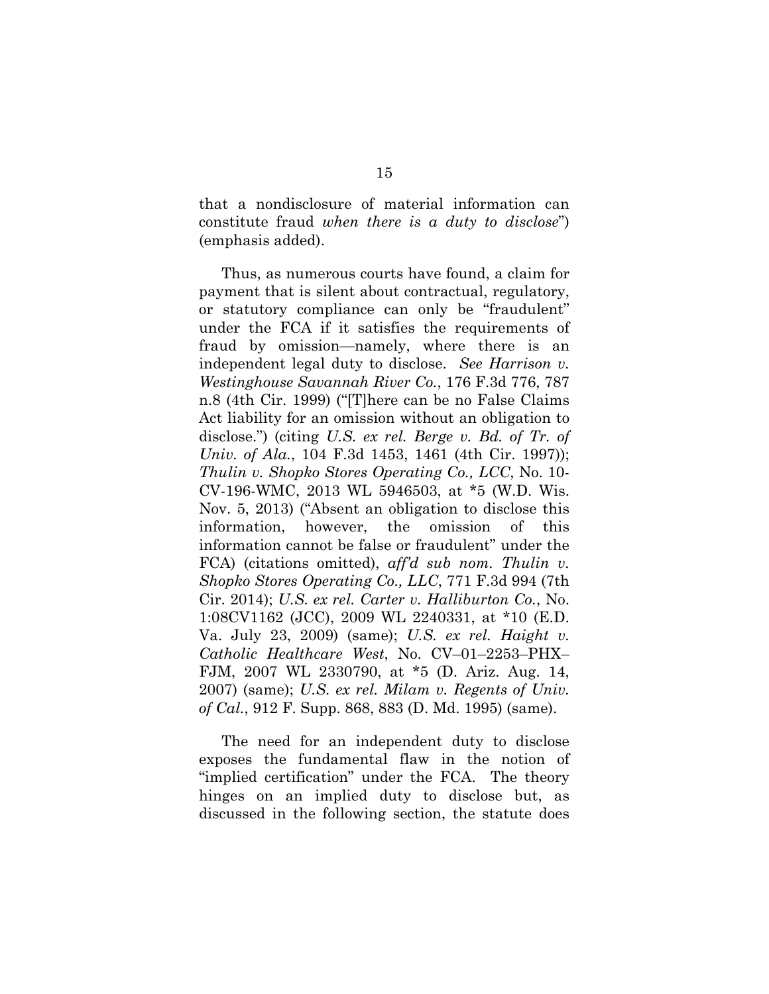that a nondisclosure of material information can constitute fraud *when there is a duty to disclose*") (emphasis added).

Thus, as numerous courts have found, a claim for payment that is silent about contractual, regulatory, or statutory compliance can only be "fraudulent" under the FCA if it satisfies the requirements of fraud by omission—namely, where there is an independent legal duty to disclose. *See Harrison v. Westinghouse Savannah River Co.*, 176 F.3d 776, 787 n.8 (4th Cir. 1999) ("[T]here can be no False Claims Act liability for an omission without an obligation to disclose.") (citing *U.S. ex rel. Berge v. Bd. of Tr. of Univ. of Ala.*, 104 F.3d 1453, 1461 (4th Cir. 1997)); *Thulin v. Shopko Stores Operating Co., LCC*, No. 10- CV-196-WMC, 2013 WL 5946503, at \*5 (W.D. Wis. Nov. 5, 2013) ("Absent an obligation to disclose this information, however, the omission of this information cannot be false or fraudulent" under the FCA) (citations omitted), *aff'd sub nom. Thulin v. Shopko Stores Operating Co., LLC*, 771 F.3d 994 (7th Cir. 2014); *U.S. ex rel. Carter v. Halliburton Co.*, No. 1:08CV1162 (JCC), 2009 WL 2240331, at \*10 (E.D. Va. July 23, 2009) (same); *U.S. ex rel. Haight v. Catholic Healthcare West*, No. CV–01–2253–PHX– FJM, 2007 WL 2330790, at \*5 (D. Ariz. Aug. 14, 2007) (same); *U.S. ex rel. Milam v. Regents of Univ. of Cal.*, 912 F. Supp. 868, 883 (D. Md. 1995) (same).

The need for an independent duty to disclose exposes the fundamental flaw in the notion of "implied certification" under the FCA. The theory hinges on an implied duty to disclose but, as discussed in the following section, the statute does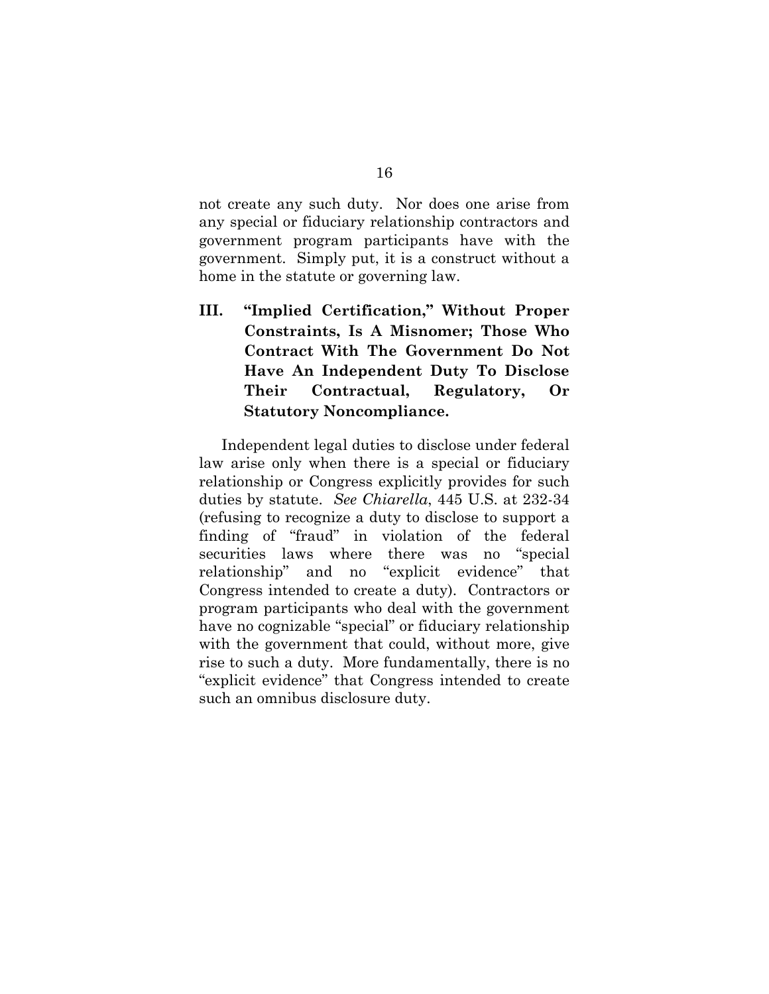not create any such duty. Nor does one arise from any special or fiduciary relationship contractors and government program participants have with the government. Simply put, it is a construct without a home in the statute or governing law.

**III. "Implied Certification," Without Proper Constraints, Is A Misnomer; Those Who Contract With The Government Do Not Have An Independent Duty To Disclose Their Contractual, Regulatory, Or Statutory Noncompliance.**

Independent legal duties to disclose under federal law arise only when there is a special or fiduciary relationship or Congress explicitly provides for such duties by statute. *See Chiarella*, 445 U.S. at 232-34 (refusing to recognize a duty to disclose to support a finding of "fraud" in violation of the federal securities laws where there was no "special relationship" and no "explicit evidence" that Congress intended to create a duty). Contractors or program participants who deal with the government have no cognizable "special" or fiduciary relationship with the government that could, without more, give rise to such a duty. More fundamentally, there is no "explicit evidence" that Congress intended to create such an omnibus disclosure duty.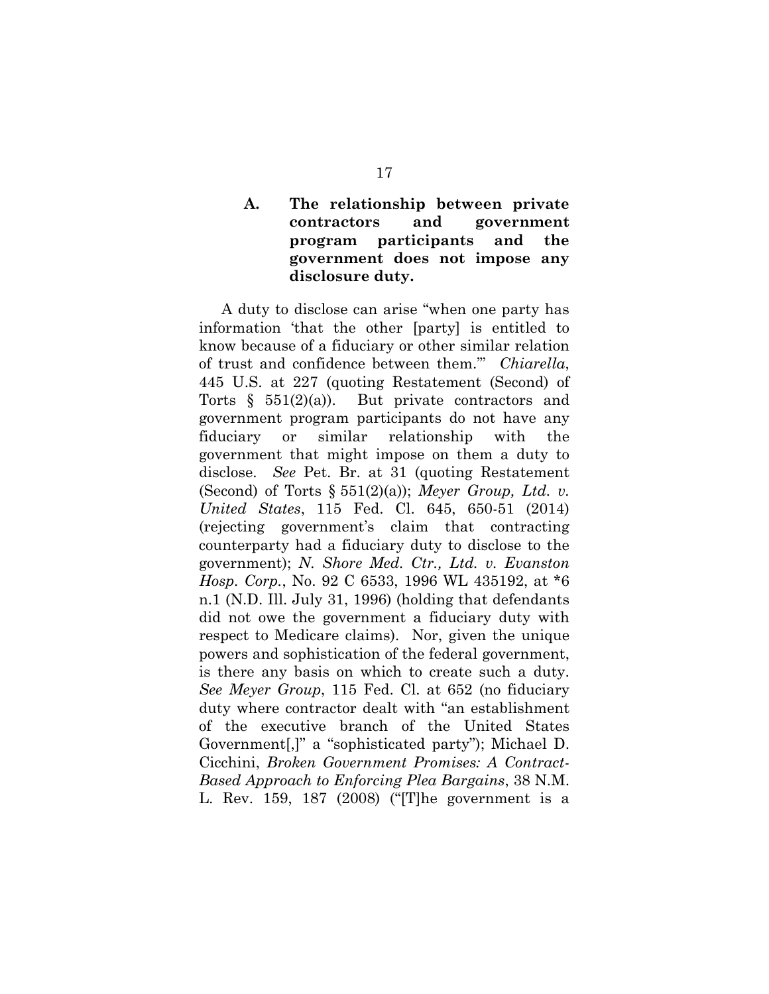### **A. The relationship between private contractors and government program participants and the government does not impose any disclosure duty.**

A duty to disclose can arise "when one party has information 'that the other [party] is entitled to know because of a fiduciary or other similar relation of trust and confidence between them.'" *Chiarella*, 445 U.S. at 227 (quoting Restatement (Second) of Torts  $\S$  551(2)(a)). But private contractors and government program participants do not have any fiduciary or similar relationship with the government that might impose on them a duty to disclose. *See* Pet. Br. at 31 (quoting Restatement (Second) of Torts § 551(2)(a)); *Meyer Group, Ltd. v. United States*, 115 Fed. Cl. 645, 650-51 (2014) (rejecting government's claim that contracting counterparty had a fiduciary duty to disclose to the government); *N. Shore Med. Ctr., Ltd. v. Evanston Hosp. Corp.*, No. 92 C 6533, 1996 WL 435192, at \*6 n.1 (N.D. Ill. July 31, 1996) (holding that defendants did not owe the government a fiduciary duty with respect to Medicare claims). Nor, given the unique powers and sophistication of the federal government, is there any basis on which to create such a duty. *See Meyer Group*, 115 Fed. Cl. at 652 (no fiduciary duty where contractor dealt with "an establishment of the executive branch of the United States Government[,]" a "sophisticated party"); Michael D. Cicchini, *Broken Government Promises: A Contract-Based Approach to Enforcing Plea Bargains*, 38 N.M. L. Rev. 159, 187 (2008) ("[T]he government is a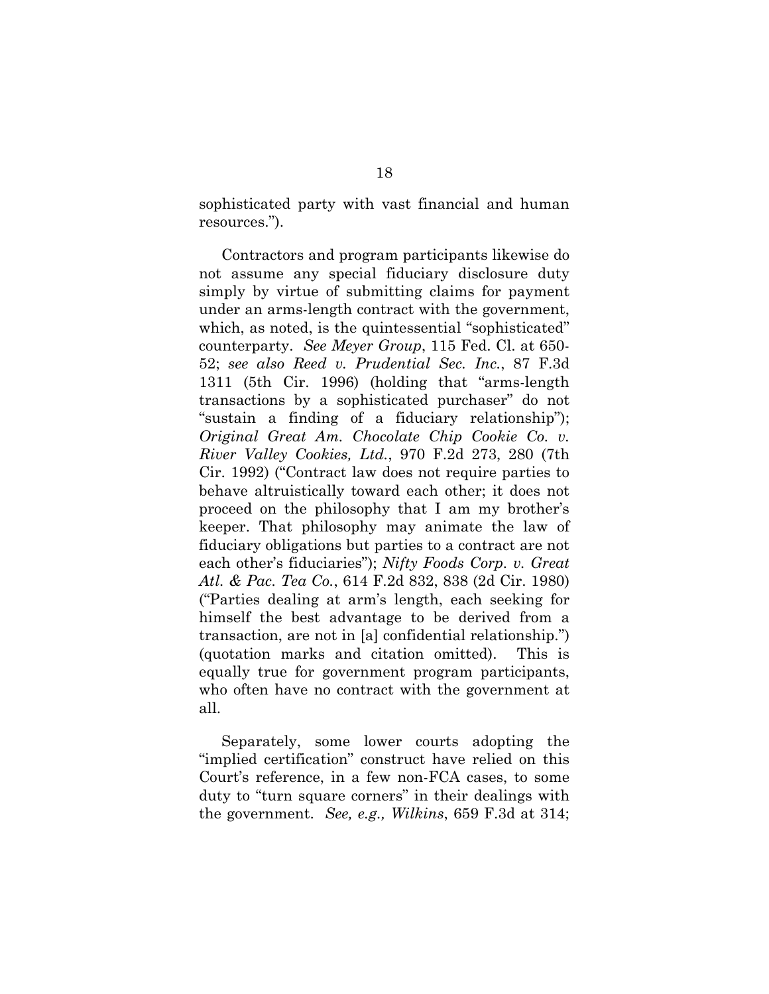sophisticated party with vast financial and human resources.").

Contractors and program participants likewise do not assume any special fiduciary disclosure duty simply by virtue of submitting claims for payment under an arms-length contract with the government, which, as noted, is the quintessential "sophisticated" counterparty. *See Meyer Group*, 115 Fed. Cl. at 650- 52; *see also Reed v. Prudential Sec. Inc.*, 87 F.3d 1311 (5th Cir. 1996) (holding that "arms-length transactions by a sophisticated purchaser" do not "sustain a finding of a fiduciary relationship"); *Original Great Am. Chocolate Chip Cookie Co. v. River Valley Cookies, Ltd.*, 970 F.2d 273, 280 (7th Cir. 1992) ("Contract law does not require parties to behave altruistically toward each other; it does not proceed on the philosophy that I am my brother's keeper. That philosophy may animate the law of fiduciary obligations but parties to a contract are not each other's fiduciaries"); *Nifty Foods Corp. v. Great Atl. & Pac. Tea Co.*, 614 F.2d 832, 838 (2d Cir. 1980) ("Parties dealing at arm's length, each seeking for himself the best advantage to be derived from a transaction, are not in [a] confidential relationship.") (quotation marks and citation omitted). This is equally true for government program participants, who often have no contract with the government at all.

Separately, some lower courts adopting the "implied certification" construct have relied on this Court's reference, in a few non-FCA cases, to some duty to "turn square corners" in their dealings with the government. *See, e.g., Wilkins*, 659 F.3d at 314;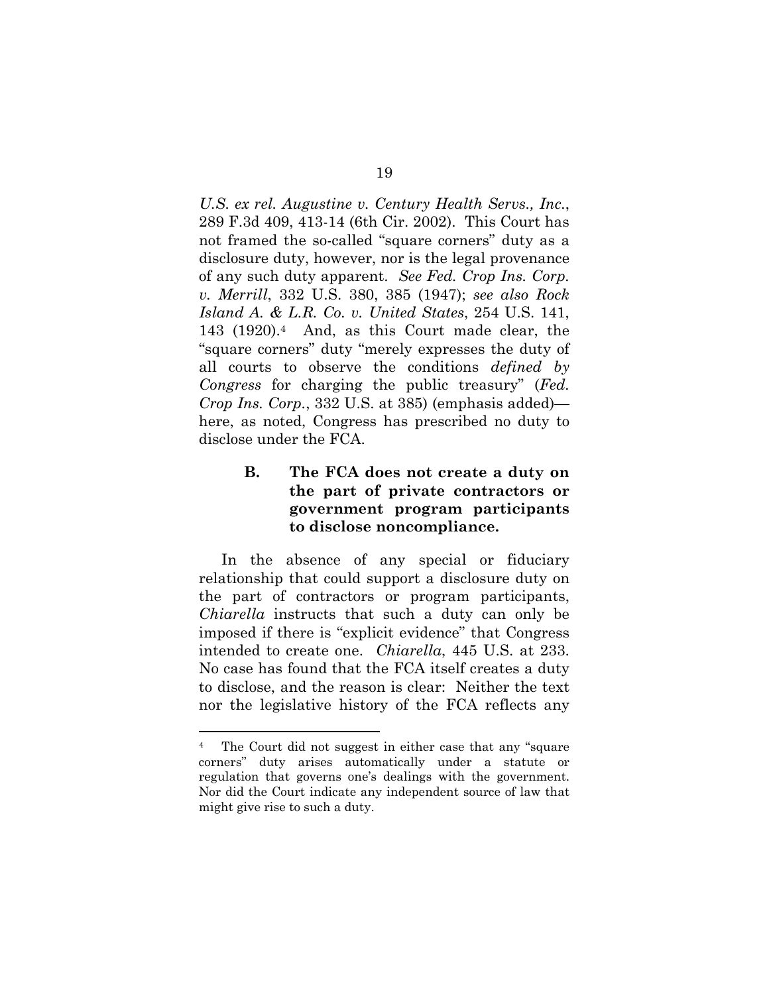*U.S. ex rel. Augustine v. Century Health Servs., Inc.*, 289 F.3d 409, 413-14 (6th Cir. 2002). This Court has not framed the so-called "square corners" duty as a disclosure duty, however, nor is the legal provenance of any such duty apparent. *See Fed. Crop Ins. Corp. v. Merrill*, 332 U.S. 380, 385 (1947); *see also Rock Island A. & L.R. Co. v. United States*, 254 U.S. 141, 143 (1920).4 And, as this Court made clear, the "square corners" duty "merely expresses the duty of all courts to observe the conditions *defined by Congress* for charging the public treasury" (*Fed. Crop Ins. Corp.*, 332 U.S. at 385) (emphasis added) here, as noted, Congress has prescribed no duty to disclose under the FCA.

### **B. The FCA does not create a duty on the part of private contractors or government program participants to disclose noncompliance.**

In the absence of any special or fiduciary relationship that could support a disclosure duty on the part of contractors or program participants, *Chiarella* instructs that such a duty can only be imposed if there is "explicit evidence" that Congress intended to create one. *Chiarella*, 445 U.S. at 233. No case has found that the FCA itself creates a duty to disclose, and the reason is clear: Neither the text nor the legislative history of the FCA reflects any

 $\overline{a}$ 

<sup>4</sup> The Court did not suggest in either case that any "square corners" duty arises automatically under a statute or regulation that governs one's dealings with the government. Nor did the Court indicate any independent source of law that might give rise to such a duty.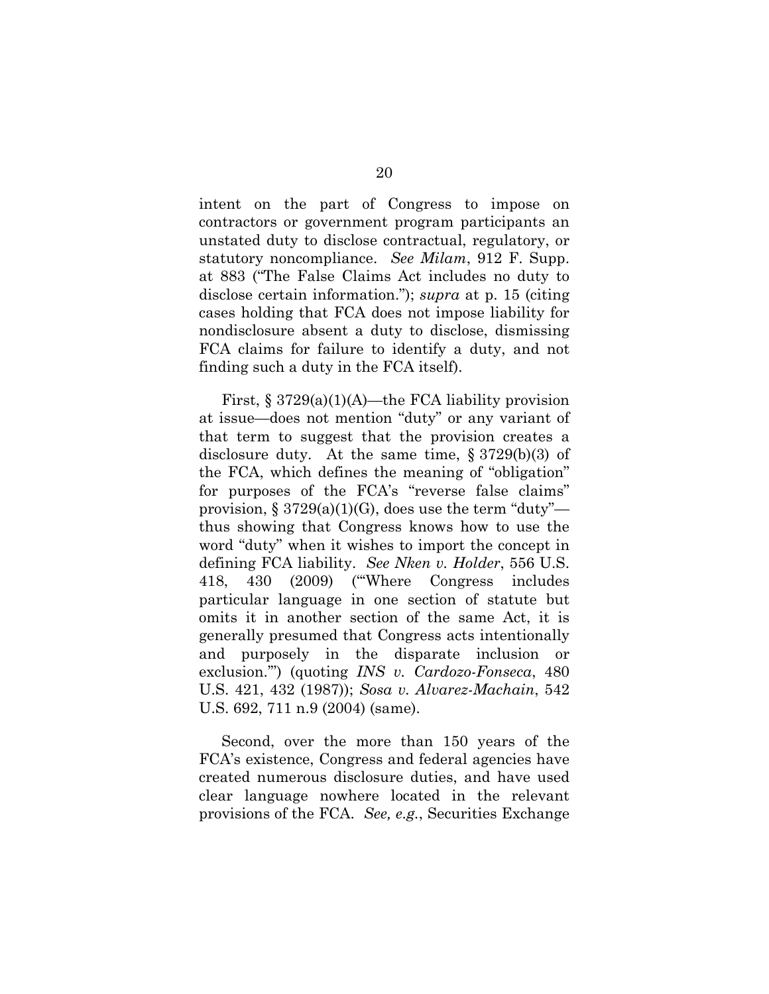intent on the part of Congress to impose on contractors or government program participants an unstated duty to disclose contractual, regulatory, or statutory noncompliance. *See Milam*, 912 F. Supp. at 883 ("The False Claims Act includes no duty to disclose certain information."); *supra* at p. 15 (citing cases holding that FCA does not impose liability for nondisclosure absent a duty to disclose, dismissing FCA claims for failure to identify a duty, and not finding such a duty in the FCA itself).

First,  $\S 3729(a)(1)(A)$ —the FCA liability provision at issue—does not mention "duty" or any variant of that term to suggest that the provision creates a disclosure duty. At the same time,  $\S 3729(b)(3)$  of the FCA, which defines the meaning of "obligation" for purposes of the FCA's "reverse false claims" provision,  $\S 3729(a)(1)(G)$ , does use the term "duty" thus showing that Congress knows how to use the word "duty" when it wishes to import the concept in defining FCA liability. *See Nken v. Holder*, 556 U.S. 418, 430 (2009) ("'Where Congress includes particular language in one section of statute but omits it in another section of the same Act, it is generally presumed that Congress acts intentionally and purposely in the disparate inclusion or exclusion.'") (quoting *INS v. Cardozo-Fonseca*, 480 U.S. 421, 432 (1987)); *Sosa v. Alvarez-Machain*, 542 U.S. 692, 711 n.9 (2004) (same).

Second, over the more than 150 years of the FCA's existence, Congress and federal agencies have created numerous disclosure duties, and have used clear language nowhere located in the relevant provisions of the FCA. *See, e.g.*, Securities Exchange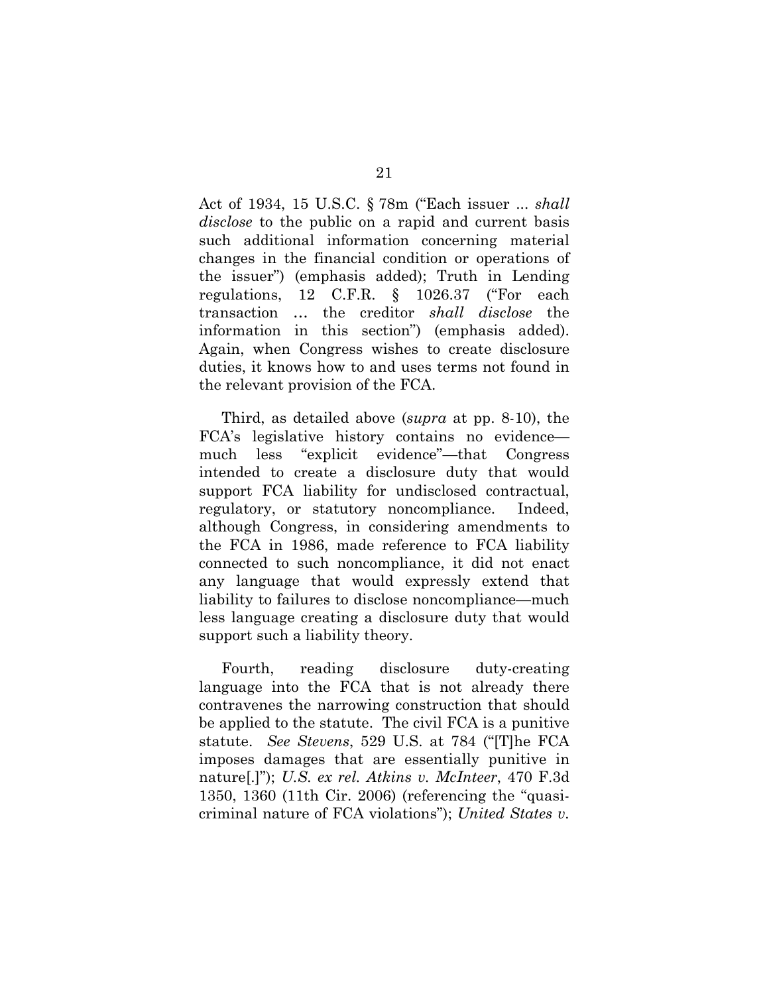Act of 1934, 15 U.S.C. § 78m ("Each issuer ... *shall disclose* to the public on a rapid and current basis such additional information concerning material changes in the financial condition or operations of the issuer") (emphasis added); Truth in Lending regulations, 12 C.F.R. § 1026.37 ("For each transaction … the creditor *shall disclose* the information in this section") (emphasis added). Again, when Congress wishes to create disclosure duties, it knows how to and uses terms not found in the relevant provision of the FCA.

Third, as detailed above (*supra* at pp. 8-10), the FCA's legislative history contains no evidence much less "explicit evidence"—that Congress intended to create a disclosure duty that would support FCA liability for undisclosed contractual, regulatory, or statutory noncompliance. Indeed, although Congress, in considering amendments to the FCA in 1986, made reference to FCA liability connected to such noncompliance, it did not enact any language that would expressly extend that liability to failures to disclose noncompliance—much less language creating a disclosure duty that would support such a liability theory.

Fourth, reading disclosure duty-creating language into the FCA that is not already there contravenes the narrowing construction that should be applied to the statute. The civil FCA is a punitive statute. *See Stevens*, 529 U.S. at 784 ("[T]he FCA imposes damages that are essentially punitive in nature[.]"); *U.S. ex rel. Atkins v. McInteer*, 470 F.3d 1350, 1360 (11th Cir. 2006) (referencing the "quasicriminal nature of FCA violations"); *United States v.*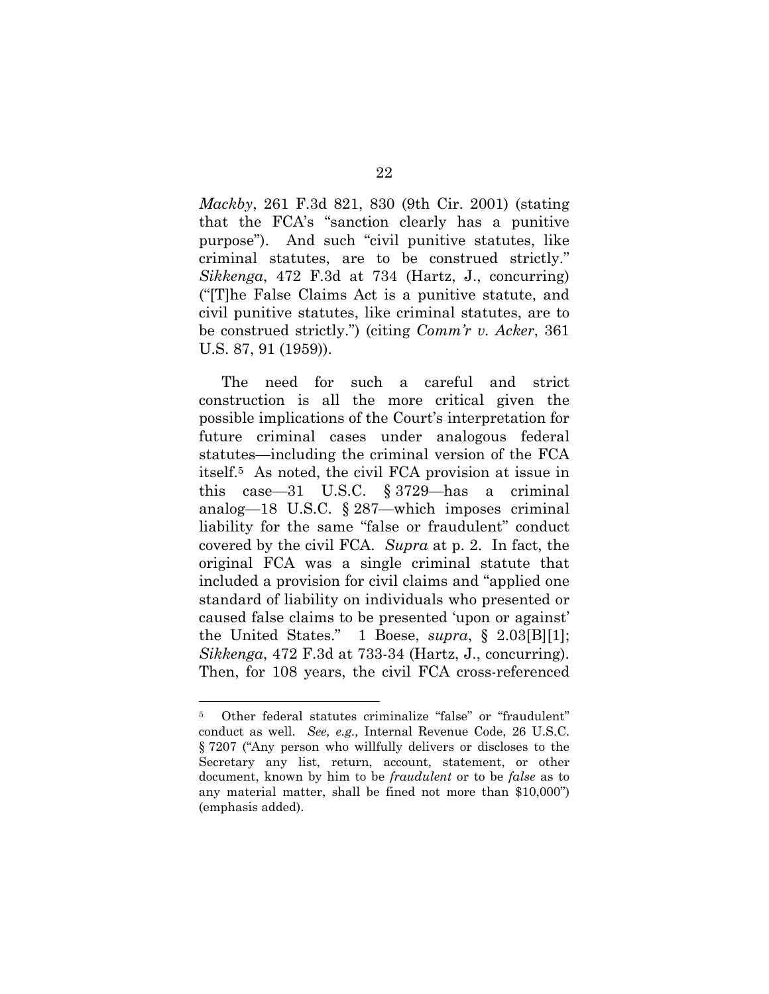*Mackby*, 261 F.3d 821, 830 (9th Cir. 2001) (stating that the FCA's "sanction clearly has a punitive purpose"). And such "civil punitive statutes, like criminal statutes, are to be construed strictly." *Sikkenga*, 472 F.3d at 734 (Hartz, J., concurring) ("[T]he False Claims Act is a punitive statute, and civil punitive statutes, like criminal statutes, are to be construed strictly.") (citing *Comm'r v. Acker*, 361 U.S. 87, 91 (1959)).

The need for such a careful and strict construction is all the more critical given the possible implications of the Court's interpretation for future criminal cases under analogous federal statutes—including the criminal version of the FCA itself.5 As noted, the civil FCA provision at issue in this case—31 U.S.C. § 3729—has a criminal analog—18 U.S.C. § 287—which imposes criminal liability for the same "false or fraudulent" conduct covered by the civil FCA. *Supra* at p. 2. In fact, the original FCA was a single criminal statute that included a provision for civil claims and "applied one standard of liability on individuals who presented or caused false claims to be presented 'upon or against' the United States." 1 Boese, *supra*, § 2.03[B][1]; *Sikkenga*, 472 F.3d at 733-34 (Hartz, J., concurring). Then, for 108 years, the civil FCA cross-referenced

 $\overline{a}$ 

<sup>5</sup> Other federal statutes criminalize "false" or "fraudulent" conduct as well. *See, e.g.,* Internal Revenue Code, 26 U.S.C. § 7207 ("Any person who willfully delivers or discloses to the Secretary any list, return, account, statement, or other document, known by him to be *fraudulent* or to be *false* as to any material matter, shall be fined not more than \$10,000") (emphasis added).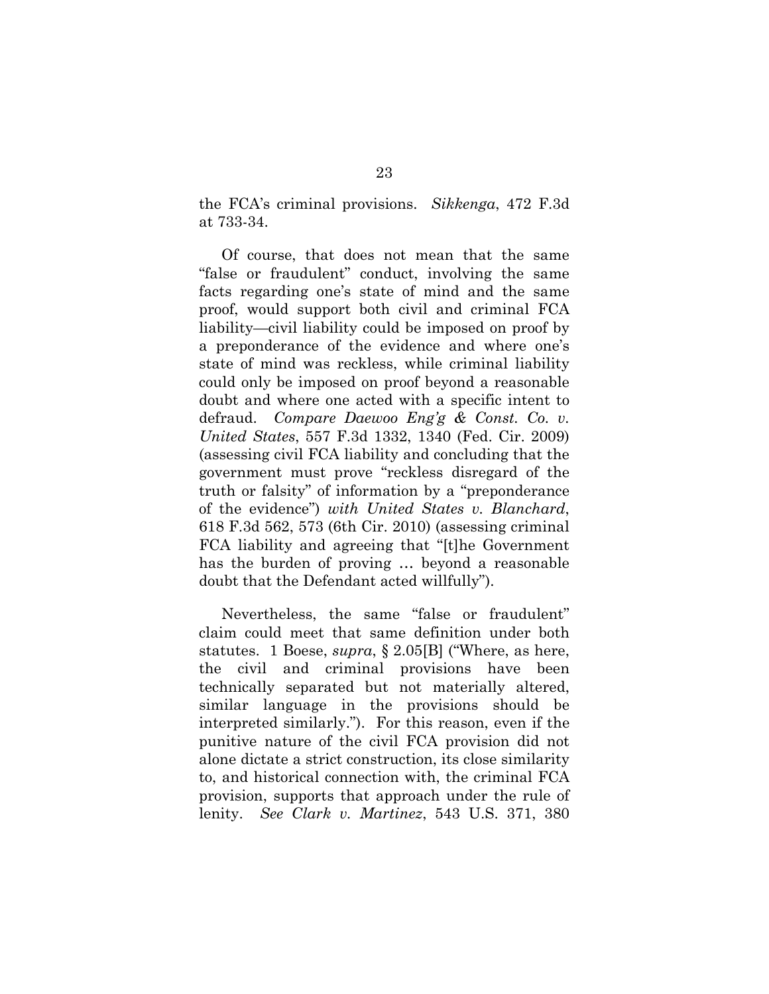the FCA's criminal provisions. *Sikkenga*, 472 F.3d at 733-34.

Of course, that does not mean that the same "false or fraudulent" conduct, involving the same facts regarding one's state of mind and the same proof, would support both civil and criminal FCA liability—civil liability could be imposed on proof by a preponderance of the evidence and where one's state of mind was reckless, while criminal liability could only be imposed on proof beyond a reasonable doubt and where one acted with a specific intent to defraud. *Compare Daewoo Eng'g & Const. Co. v. United States*, 557 F.3d 1332, 1340 (Fed. Cir. 2009) (assessing civil FCA liability and concluding that the government must prove "reckless disregard of the truth or falsity" of information by a "preponderance of the evidence") *with United States v. Blanchard*, 618 F.3d 562, 573 (6th Cir. 2010) (assessing criminal FCA liability and agreeing that "[t]he Government has the burden of proving … beyond a reasonable doubt that the Defendant acted willfully").

Nevertheless, the same "false or fraudulent" claim could meet that same definition under both statutes. 1 Boese, *supra*, § 2.05[B] ("Where, as here, the civil and criminal provisions have been technically separated but not materially altered, similar language in the provisions should be interpreted similarly."). For this reason, even if the punitive nature of the civil FCA provision did not alone dictate a strict construction, its close similarity to, and historical connection with, the criminal FCA provision, supports that approach under the rule of lenity. *See Clark v. Martinez*, 543 U.S. 371, 380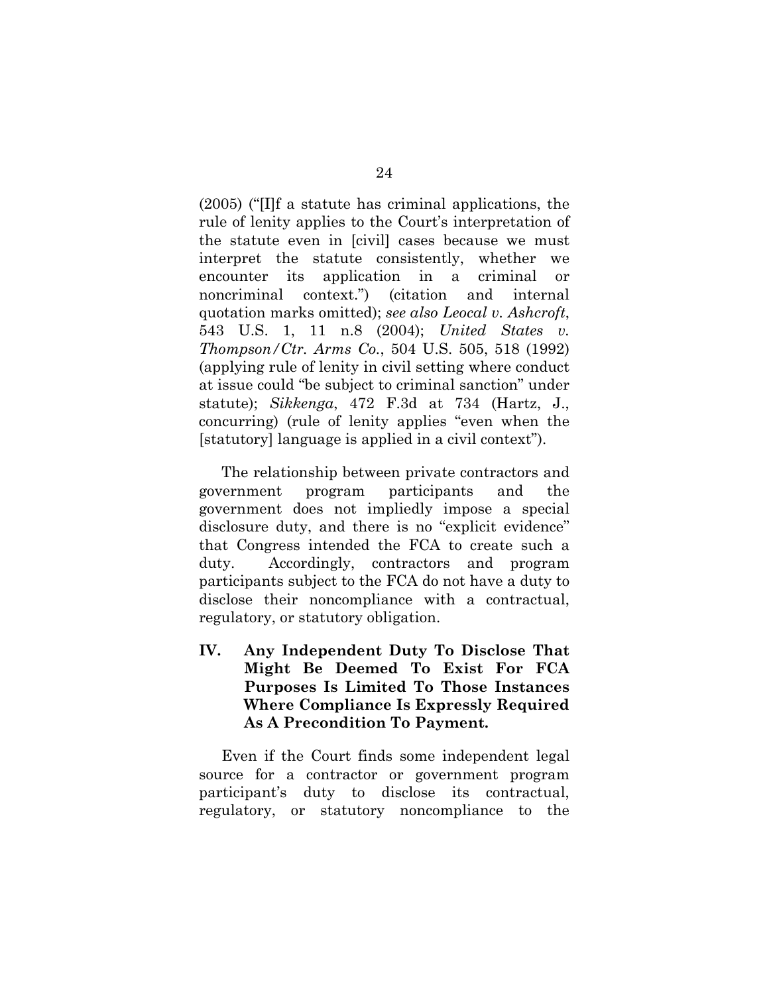(2005) ("[I]f a statute has criminal applications, the rule of lenity applies to the Court's interpretation of the statute even in [civil] cases because we must interpret the statute consistently, whether we encounter its application in a criminal or noncriminal context.") (citation and internal quotation marks omitted); *see also Leocal v. Ashcroft*, 543 U.S. 1, 11 n.8 (2004); *United States v. Thompson/Ctr. Arms Co.*, 504 U.S. 505, 518 (1992) (applying rule of lenity in civil setting where conduct at issue could "be subject to criminal sanction" under statute); *Sikkenga*, 472 F.3d at 734 (Hartz, J., concurring) (rule of lenity applies "even when the [statutory] language is applied in a civil context").

The relationship between private contractors and government program participants and the government does not impliedly impose a special disclosure duty, and there is no "explicit evidence" that Congress intended the FCA to create such a duty. Accordingly, contractors and program participants subject to the FCA do not have a duty to disclose their noncompliance with a contractual, regulatory, or statutory obligation.

**IV. Any Independent Duty To Disclose That Might Be Deemed To Exist For FCA Purposes Is Limited To Those Instances Where Compliance Is Expressly Required As A Precondition To Payment.** 

Even if the Court finds some independent legal source for a contractor or government program participant's duty to disclose its contractual, regulatory, or statutory noncompliance to the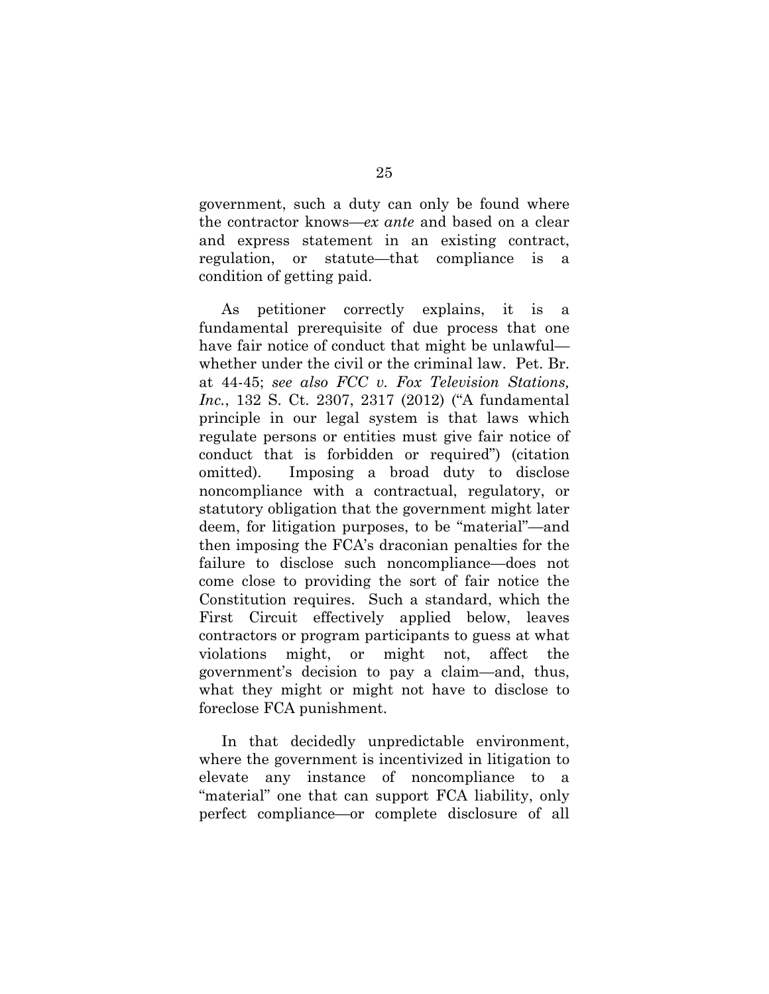government, such a duty can only be found where the contractor knows—*ex ante* and based on a clear and express statement in an existing contract, regulation, or statute—that compliance is a condition of getting paid.

As petitioner correctly explains, it is a fundamental prerequisite of due process that one have fair notice of conduct that might be unlawful whether under the civil or the criminal law. Pet. Br. at 44-45; *see also FCC v. Fox Television Stations, Inc.*, 132 S. Ct. 2307, 2317 (2012) ("A fundamental principle in our legal system is that laws which regulate persons or entities must give fair notice of conduct that is forbidden or required") (citation omitted). Imposing a broad duty to disclose noncompliance with a contractual, regulatory, or statutory obligation that the government might later deem, for litigation purposes, to be "material"—and then imposing the FCA's draconian penalties for the failure to disclose such noncompliance—does not come close to providing the sort of fair notice the Constitution requires. Such a standard, which the First Circuit effectively applied below, leaves contractors or program participants to guess at what violations might, or might not, affect the government's decision to pay a claim—and, thus, what they might or might not have to disclose to foreclose FCA punishment.

In that decidedly unpredictable environment, where the government is incentivized in litigation to elevate any instance of noncompliance to a "material" one that can support FCA liability, only perfect compliance—or complete disclosure of all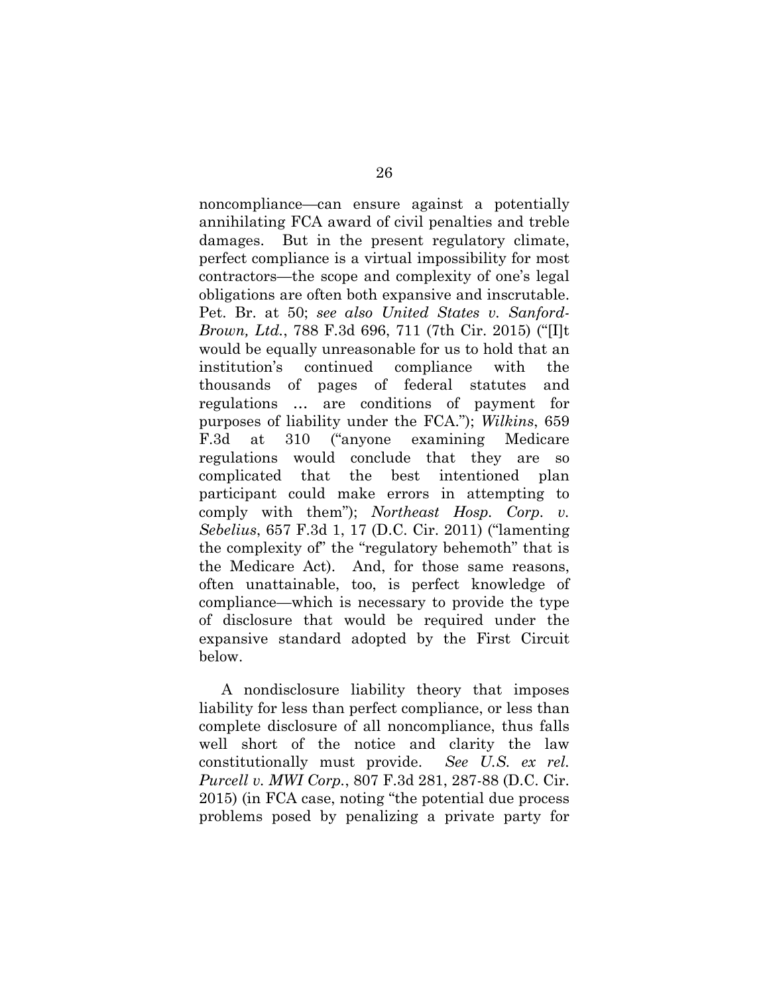noncompliance—can ensure against a potentially annihilating FCA award of civil penalties and treble damages. But in the present regulatory climate, perfect compliance is a virtual impossibility for most contractors—the scope and complexity of one's legal obligations are often both expansive and inscrutable. Pet. Br. at 50; *see also United States v. Sanford-Brown, Ltd.*, 788 F.3d 696, 711 (7th Cir. 2015) ("[I]t would be equally unreasonable for us to hold that an institution's continued compliance with the thousands of pages of federal statutes and regulations … are conditions of payment for purposes of liability under the FCA."); *Wilkins*, 659 F.3d at 310 ("anyone examining Medicare regulations would conclude that they are so complicated that the best intentioned plan participant could make errors in attempting to comply with them"); *Northeast Hosp. Corp. v. Sebelius*, 657 F.3d 1, 17 (D.C. Cir. 2011) ("lamenting the complexity of" the "regulatory behemoth" that is the Medicare Act). And, for those same reasons, often unattainable, too, is perfect knowledge of compliance—which is necessary to provide the type of disclosure that would be required under the expansive standard adopted by the First Circuit below.

A nondisclosure liability theory that imposes liability for less than perfect compliance, or less than complete disclosure of all noncompliance, thus falls well short of the notice and clarity the law constitutionally must provide. *See U.S. ex rel. Purcell v. MWI Corp.*, 807 F.3d 281, 287-88 (D.C. Cir. 2015) (in FCA case, noting "the potential due process problems posed by penalizing a private party for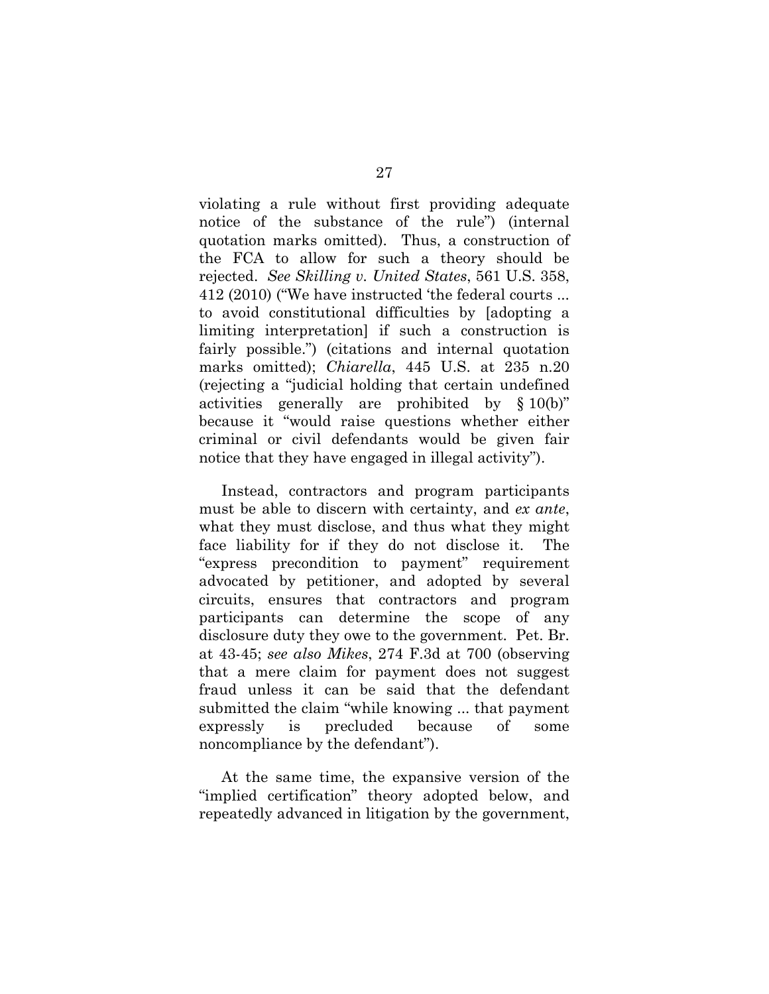violating a rule without first providing adequate notice of the substance of the rule") (internal quotation marks omitted). Thus, a construction of the FCA to allow for such a theory should be rejected. *See Skilling v. United States*, 561 U.S. 358, 412 (2010) ("We have instructed 'the federal courts ... to avoid constitutional difficulties by [adopting a limiting interpretation] if such a construction is fairly possible.") (citations and internal quotation marks omitted); *Chiarella*, 445 U.S. at 235 n.20 (rejecting a "judicial holding that certain undefined activities generally are prohibited by § 10(b)" because it "would raise questions whether either criminal or civil defendants would be given fair notice that they have engaged in illegal activity").

Instead, contractors and program participants must be able to discern with certainty, and *ex ante*, what they must disclose, and thus what they might face liability for if they do not disclose it. The "express precondition to payment" requirement advocated by petitioner, and adopted by several circuits, ensures that contractors and program participants can determine the scope of any disclosure duty they owe to the government. Pet. Br. at 43-45; *see also Mikes*, 274 F.3d at 700 (observing that a mere claim for payment does not suggest fraud unless it can be said that the defendant submitted the claim "while knowing ... that payment expressly is precluded because of some noncompliance by the defendant").

At the same time, the expansive version of the "implied certification" theory adopted below, and repeatedly advanced in litigation by the government,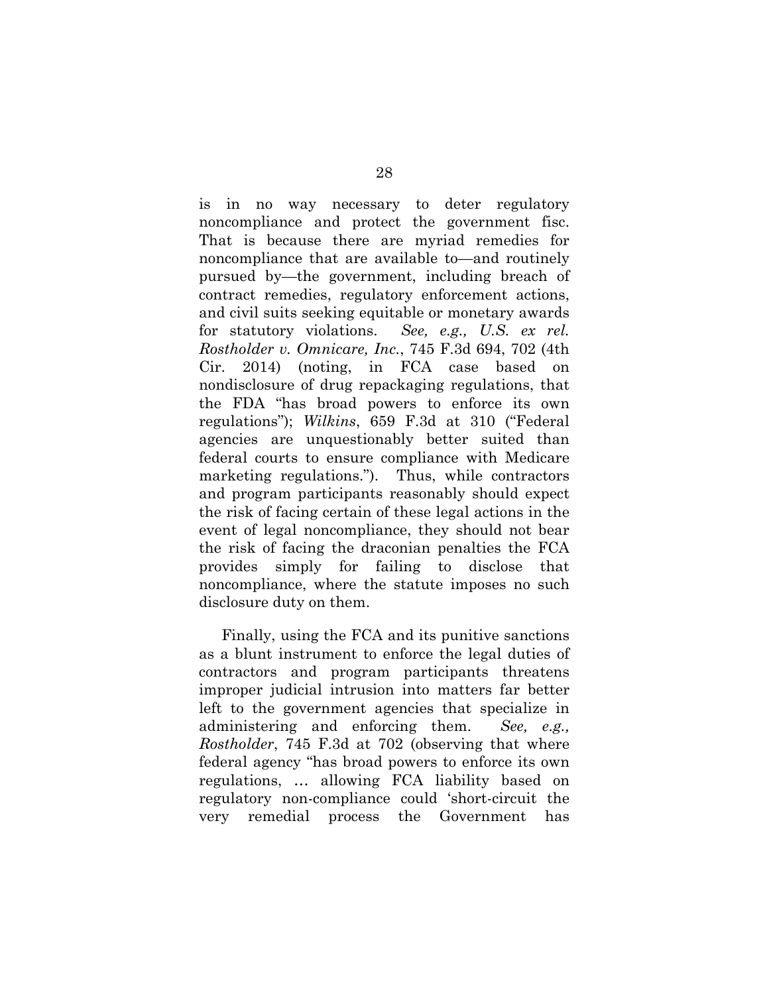is in no way necessary to deter regulatory noncompliance and protect the government fisc. That is because there are myriad remedies for noncompliance that are available to—and routinely pursued by—the government, including breach of contract remedies, regulatory enforcement actions, and civil suits seeking equitable or monetary awards for statutory violations. *See, e.g., U.S. ex rel. Rostholder v. Omnicare, Inc.*, 745 F.3d 694, 702 (4th Cir. 2014) (noting, in FCA case based on nondisclosure of drug repackaging regulations, that the FDA "has broad powers to enforce its own regulations"); *Wilkins*, 659 F.3d at 310 ("Federal agencies are unquestionably better suited than federal courts to ensure compliance with Medicare marketing regulations.").Thus, while contractors and program participants reasonably should expect the risk of facing certain of these legal actions in the event of legal noncompliance, they should not bear the risk of facing the draconian penalties the FCA provides simply for failing to disclose that noncompliance, where the statute imposes no such disclosure duty on them.

Finally, using the FCA and its punitive sanctions as a blunt instrument to enforce the legal duties of contractors and program participants threatens improper judicial intrusion into matters far better left to the government agencies that specialize in administering and enforcing them. *See, e.g., Rostholder*, 745 F.3d at 702 (observing that where federal agency "has broad powers to enforce its own regulations, … allowing FCA liability based on regulatory non-compliance could 'short-circuit the very remedial process the Government has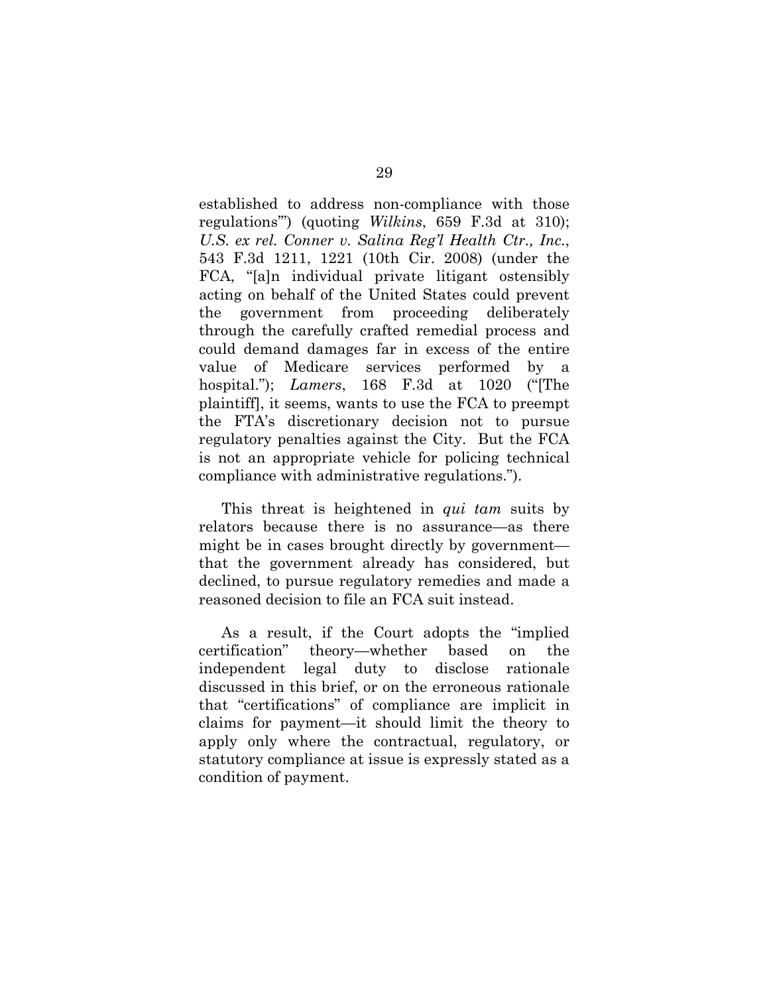established to address non-compliance with those regulations'") (quoting *Wilkins*, 659 F.3d at 310); *U.S. ex rel. Conner v. Salina Reg'l Health Ctr., Inc.*, 543 F.3d 1211, 1221 (10th Cir. 2008) (under the FCA, "[a]n individual private litigant ostensibly acting on behalf of the United States could prevent the government from proceeding deliberately through the carefully crafted remedial process and could demand damages far in excess of the entire value of Medicare services performed by a hospital."); *Lamers*, 168 F.3d at 1020 ("[The plaintiff], it seems, wants to use the FCA to preempt the FTA's discretionary decision not to pursue regulatory penalties against the City. But the FCA is not an appropriate vehicle for policing technical compliance with administrative regulations.").

This threat is heightened in *qui tam* suits by relators because there is no assurance—as there might be in cases brought directly by government that the government already has considered, but declined, to pursue regulatory remedies and made a reasoned decision to file an FCA suit instead.

As a result, if the Court adopts the "implied certification" theory—whether based on the independent legal duty to disclose rationale discussed in this brief, or on the erroneous rationale that "certifications" of compliance are implicit in claims for payment—it should limit the theory to apply only where the contractual, regulatory, or statutory compliance at issue is expressly stated as a condition of payment.